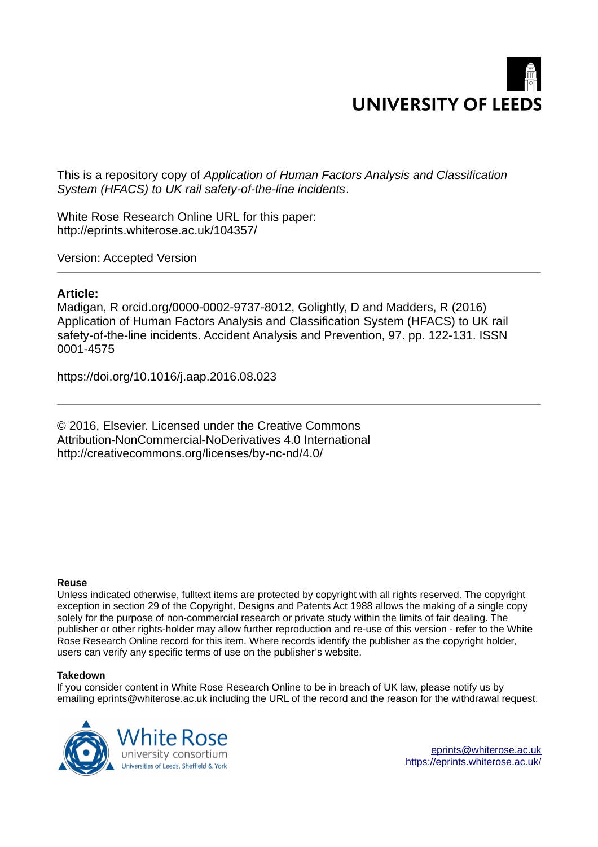

This is a repository copy of *Application of Human Factors Analysis and Classification System (HFACS) to UK rail safety-of-the-line incidents*.

White Rose Research Online URL for this paper: http://eprints.whiterose.ac.uk/104357/

Version: Accepted Version

# **Article:**

Madigan, R orcid.org/0000-0002-9737-8012, Golightly, D and Madders, R (2016) Application of Human Factors Analysis and Classification System (HFACS) to UK rail safety-of-the-line incidents. Accident Analysis and Prevention, 97. pp. 122-131. ISSN 0001-4575

https://doi.org/10.1016/j.aap.2016.08.023

© 2016, Elsevier. Licensed under the Creative Commons Attribution-NonCommercial-NoDerivatives 4.0 International http://creativecommons.org/licenses/by-nc-nd/4.0/

### **Reuse**

Unless indicated otherwise, fulltext items are protected by copyright with all rights reserved. The copyright exception in section 29 of the Copyright, Designs and Patents Act 1988 allows the making of a single copy solely for the purpose of non-commercial research or private study within the limits of fair dealing. The publisher or other rights-holder may allow further reproduction and re-use of this version - refer to the White Rose Research Online record for this item. Where records identify the publisher as the copyright holder, users can verify any specific terms of use on the publisher's website.

### **Takedown**

If you consider content in White Rose Research Online to be in breach of UK law, please notify us by emailing eprints@whiterose.ac.uk including the URL of the record and the reason for the withdrawal request.



[eprints@whiterose.ac.uk](mailto:eprints@whiterose.ac.uk) <https://eprints.whiterose.ac.uk/>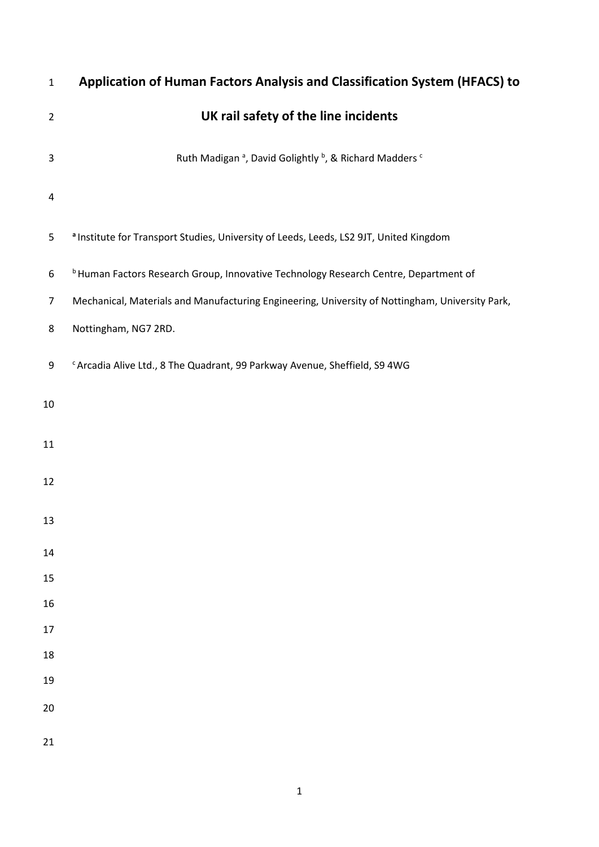| $\mathbf 1$      | Application of Human Factors Analysis and Classification System (HFACS) to                      |
|------------------|-------------------------------------------------------------------------------------------------|
| $\overline{2}$   | UK rail safety of the line incidents                                                            |
| 3                | Ruth Madigan <sup>a</sup> , David Golightly <sup>b</sup> , & Richard Madders <sup>c</sup>       |
| 4                |                                                                                                 |
| 5                | a Institute for Transport Studies, University of Leeds, Leeds, LS2 9JT, United Kingdom          |
| $\boldsymbol{6}$ | <sup>b</sup> Human Factors Research Group, Innovative Technology Research Centre, Department of |
| $\overline{7}$   | Mechanical, Materials and Manufacturing Engineering, University of Nottingham, University Park, |
| $\bf 8$          | Nottingham, NG7 2RD.                                                                            |
| 9                | <sup>c</sup> Arcadia Alive Ltd., 8 The Quadrant, 99 Parkway Avenue, Sheffield, S9 4WG           |
| 10               |                                                                                                 |
| 11               |                                                                                                 |
| 12               |                                                                                                 |
| 13               |                                                                                                 |
| 14               |                                                                                                 |
| 15               |                                                                                                 |
| 16               |                                                                                                 |
| 17               |                                                                                                 |
| 18               |                                                                                                 |
| 19               |                                                                                                 |
| 20               |                                                                                                 |
| 21               |                                                                                                 |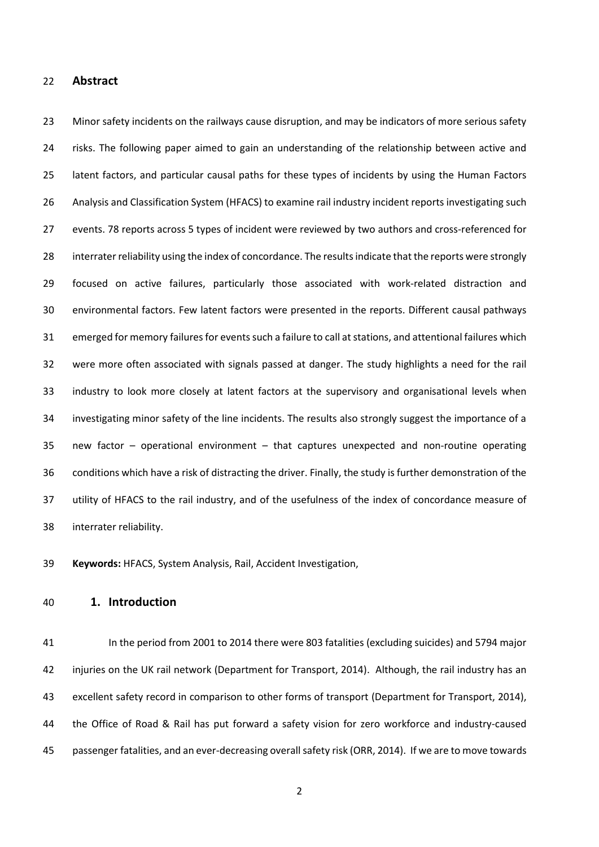### **Abstract**

 Minor safety incidents on the railways cause disruption, and may be indicators of more serious safety risks. The following paper aimed to gain an understanding of the relationship between active and latent factors, and particular causal paths for these types of incidents by using the Human Factors Analysis and Classification System (HFACS) to examine rail industry incident reports investigating such events. 78 reports across 5 types of incident were reviewed by two authors and cross-referenced for interrater reliability using the index of concordance. The results indicate that the reports were strongly focused on active failures, particularly those associated with work-related distraction and environmental factors. Few latent factors were presented in the reports. Different causal pathways emerged for memory failures for events such a failure to call at stations, and attentional failures which were more often associated with signals passed at danger. The study highlights a need for the rail industry to look more closely at latent factors at the supervisory and organisational levels when investigating minor safety of the line incidents. The results also strongly suggest the importance of a 35 new factor - operational environment - that captures unexpected and non-routine operating conditions which have a risk of distracting the driver. Finally, the study is further demonstration of the utility of HFACS to the rail industry, and of the usefulness of the index of concordance measure of interrater reliability.

**Keywords:** HFACS, System Analysis, Rail, Accident Investigation,

**1. Introduction** 

 In the period from 2001 to 2014 there were 803 fatalities (excluding suicides) and 5794 major injuries on the UK rail network (Department for Transport, 2014). Although, the rail industry has an excellent safety record in comparison to other forms of transport (Department for Transport, 2014), the Office of Road & Rail has put forward a safety vision for zero workforce and industry-caused passenger fatalities, and an ever-decreasing overall safety risk (ORR, 2014). If we are to move towards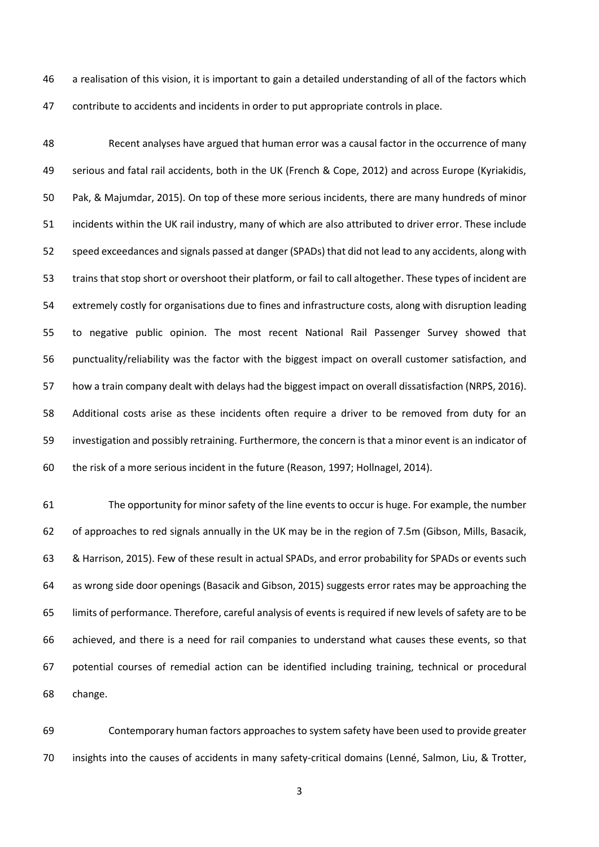a realisation of this vision, it is important to gain a detailed understanding of all of the factors which contribute to accidents and incidents in order to put appropriate controls in place.

 Recent analyses have argued that human error was a causal factor in the occurrence of many serious and fatal rail accidents, both in the UK (French & Cope, 2012) and across Europe (Kyriakidis, Pak, & Majumdar, 2015). On top of these more serious incidents, there are many hundreds of minor incidents within the UK rail industry, many of which are also attributed to driver error. These include speed exceedances and signals passed at danger (SPADs) that did not lead to any accidents, along with trains that stop short or overshoot their platform, or fail to call altogether. These types of incident are extremely costly for organisations due to fines and infrastructure costs, along with disruption leading to negative public opinion. The most recent National Rail Passenger Survey showed that punctuality/reliability was the factor with the biggest impact on overall customer satisfaction, and how a train company dealt with delays had the biggest impact on overall dissatisfaction (NRPS, 2016). Additional costs arise as these incidents often require a driver to be removed from duty for an investigation and possibly retraining. Furthermore, the concern is that a minor event is an indicator of the risk of a more serious incident in the future (Reason, 1997; Hollnagel, 2014).

 The opportunity for minor safety of the line events to occur is huge. For example, the number of approaches to red signals annually in the UK may be in the region of 7.5m (Gibson, Mills, Basacik, & Harrison, 2015). Few of these result in actual SPADs, and error probability for SPADs or events such as wrong side door openings (Basacik and Gibson, 2015) suggests error rates may be approaching the limits of performance. Therefore, careful analysis of events is required if new levels of safety are to be achieved, and there is a need for rail companies to understand what causes these events, so that potential courses of remedial action can be identified including training, technical or procedural change.

 Contemporary human factors approaches to system safety have been used to provide greater 70 insights into the causes of accidents in many safety-critical domains (Lenné, Salmon, Liu, & Trotter,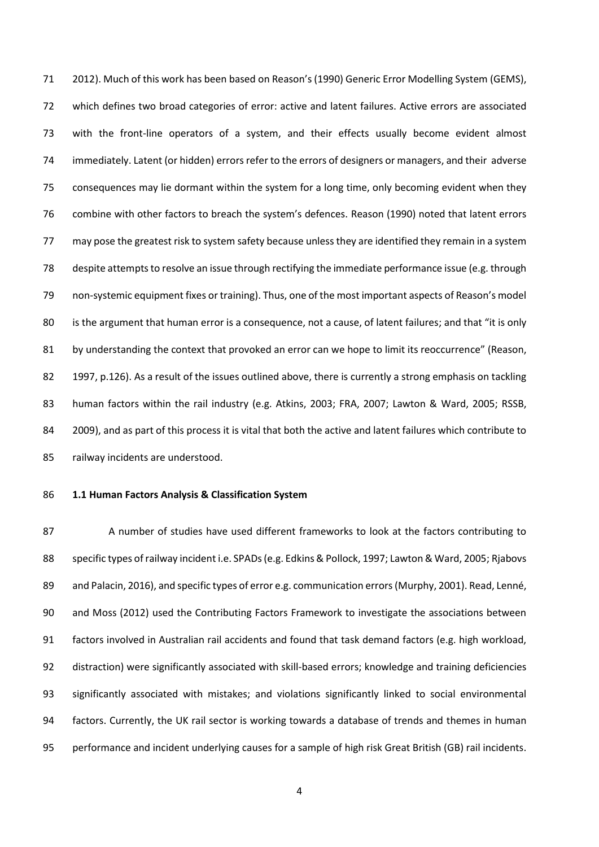71 2012). Much of this work has been based on Reason's (1990) Generic Error Modelling System (GEMS), which defines two broad categories of error: active and latent failures. Active errors are associated with the front-line operators of a system, and their effects usually become evident almost immediately. Latent (or hidden) errors refer to the errors of designers or managers, and their adverse consequences may lie dormant within the system for a long time, only becoming evident when they 76 combine with other factors to breach the system's defences. Reason (1990) noted that latent errors 77 may pose the greatest risk to system safety because unless they are identified they remain in a system despite attempts to resolve an issue through rectifying the immediate performance issue (e.g. through 79 non-systemic equipment fixes or training). Thus, one of the most important aspects of Reason's model 80 is the argument that human error is a consequence, not a cause, of latent failures; and that "it is only 81 by understanding the context that provoked an error can we hope to limit its reoccurrence" (Reason, 82 1997, p.126). As a result of the issues outlined above, there is currently a strong emphasis on tackling human factors within the rail industry (e.g. Atkins, 2003; FRA, 2007; Lawton & Ward, 2005; RSSB, 2009), and as part of this process it is vital that both the active and latent failures which contribute to railway incidents are understood.

### **1.1 Human Factors Analysis & Classification System**

 A number of studies have used different frameworks to look at the factors contributing to specific types of railway incident i.e. SPADs (e.g. Edkins & Pollock, 1997; Lawton & Ward, 2005; Rjabovs 89 and Palacin, 2016), and specific types of error e.g. communication errors (Murphy, 2001). Read, Lenné, and Moss (2012) used the Contributing Factors Framework to investigate the associations between factors involved in Australian rail accidents and found that task demand factors (e.g. high workload, distraction) were significantly associated with skill-based errors; knowledge and training deficiencies significantly associated with mistakes; and violations significantly linked to social environmental factors. Currently, the UK rail sector is working towards a database of trends and themes in human performance and incident underlying causes for a sample of high risk Great British (GB) rail incidents.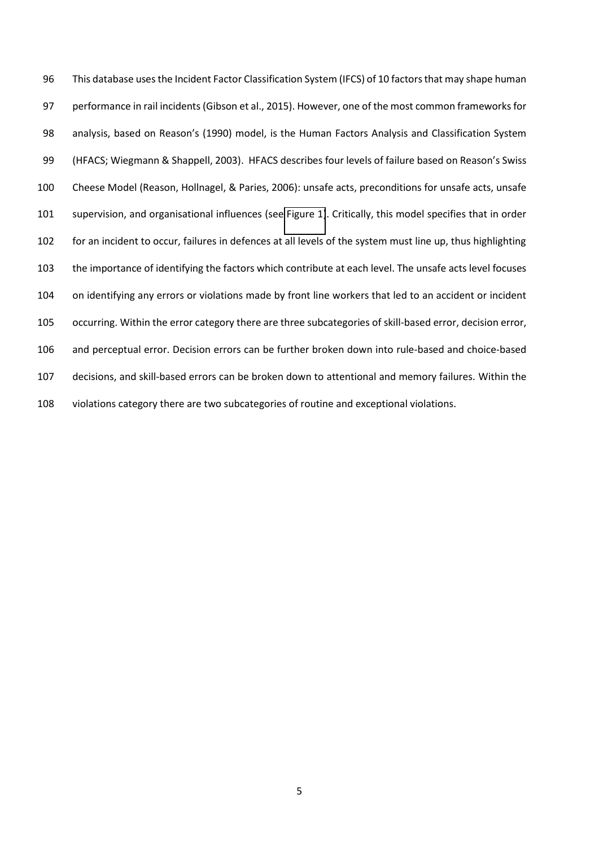<span id="page-5-0"></span> This database uses the Incident Factor Classification System (IFCS) of 10 factors that may shape human performance in rail incidents (Gibson et al., 2015). However, one of the most common frameworks for 98 analysis, based on Reason's (1990) model, is the Human Factors Analysis and Classification System 99 (HFACS; Wiegmann & Shappell, 2003). HFACS describes four levels of failure based on Reason's Swiss Cheese Model (Reason, Hollnagel, & Paries, 2006): unsafe acts, preconditions for unsafe acts, unsafe supervision, and organisational influences (see [Figure 1\)](#page-5-0). Critically, this model specifies that in order for an incident to occur, failures in defences at all levels of the system must line up, thus highlighting the importance of identifying the factors which contribute at each level. The unsafe acts level focuses on identifying any errors or violations made by front line workers that led to an accident or incident occurring. Within the error category there are three subcategories of skill-based error, decision error, and perceptual error. Decision errors can be further broken down into rule-based and choice-based decisions, and skill-based errors can be broken down to attentional and memory failures. Within the violations category there are two subcategories of routine and exceptional violations.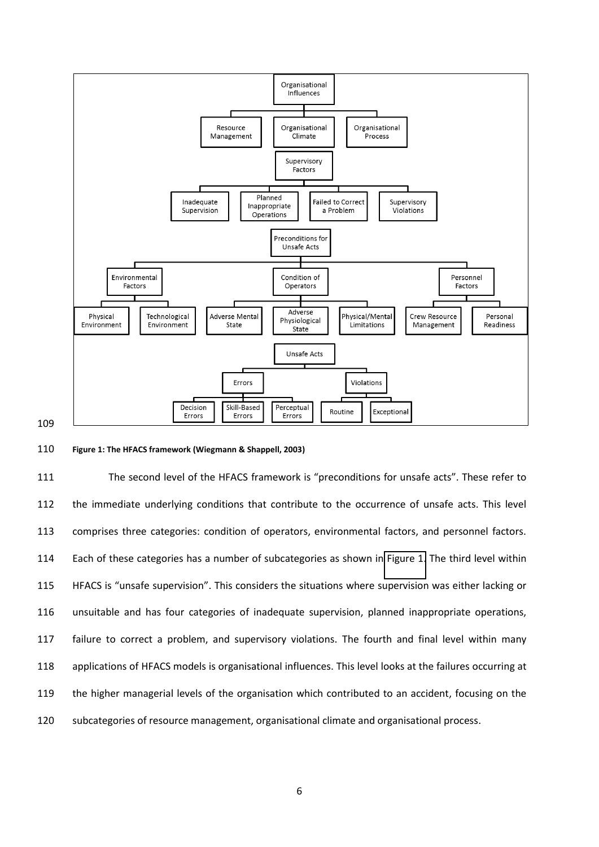

#### **Figure 1: The HFACS framework (Wiegmann & Shappell, 2003)**

111 The second level of the HFACS framework is "preconditions for unsafe acts". These refer to the immediate underlying conditions that contribute to the occurrence of unsafe acts. This level comprises three categories: condition of operators, environmental factors, and personnel factors. Each of these categories has a number of subcategories as shown in [Figure 1.](#page-5-0) The third level within 115 HFACS is "unsafe supervision". This considers the situations where supervision was either lacking or unsuitable and has four categories of inadequate supervision, planned inappropriate operations, failure to correct a problem, and supervisory violations. The fourth and final level within many applications of HFACS models is organisational influences. This level looks at the failures occurring at the higher managerial levels of the organisation which contributed to an accident, focusing on the subcategories of resource management, organisational climate and organisational process.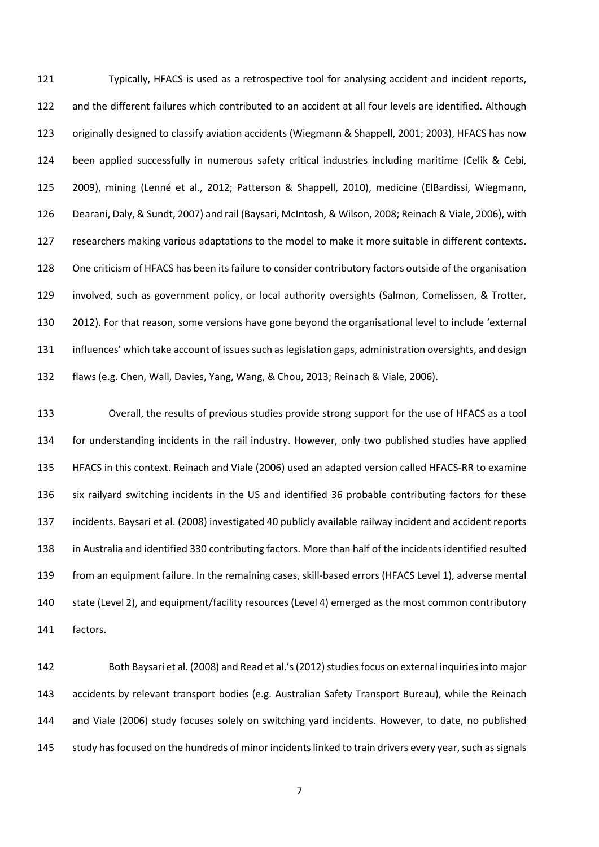Typically, HFACS is used as a retrospective tool for analysing accident and incident reports, and the different failures which contributed to an accident at all four levels are identified. Although originally designed to classify aviation accidents (Wiegmann & Shappell, 2001; 2003), HFACS has now been applied successfully in numerous safety critical industries including maritime (Celik & Cebi, 2009), mining (LennÈ et al., 2012; Patterson & Shappell, 2010), medicine (ElBardissi, Wiegmann, Dearani, Daly, & Sundt, 2007) and rail (Baysari, McIntosh, & Wilson, 2008; Reinach & Viale, 2006), with researchers making various adaptations to the model to make it more suitable in different contexts. One criticism of HFACS has been its failure to consider contributory factors outside of the organisation involved, such as government policy, or local authority oversights (Salmon, Cornelissen, & Trotter, 130 2012). For that reason, some versions have gone beyond the organisational level to include 'external 131 influences' which take account of issues such as legislation gaps, administration oversights, and design flaws (e.g. Chen, Wall, Davies, Yang, Wang, & Chou, 2013; Reinach & Viale, 2006).

 Overall, the results of previous studies provide strong support for the use of HFACS as a tool for understanding incidents in the rail industry. However, only two published studies have applied HFACS in this context. Reinach and Viale (2006) used an adapted version called HFACS-RR to examine six railyard switching incidents in the US and identified 36 probable contributing factors for these incidents. Baysari et al. (2008) investigated 40 publicly available railway incident and accident reports in Australia and identified 330 contributing factors. More than half of the incidents identified resulted from an equipment failure. In the remaining cases, skill-based errors (HFACS Level 1), adverse mental state (Level 2), and equipment/facility resources (Level 4) emerged as the most common contributory factors.

142 Both Baysari et al. (2008) and Read et al.'s (2012) studies focus on external inquiries into major accidents by relevant transport bodies (e.g. Australian Safety Transport Bureau), while the Reinach and Viale (2006) study focuses solely on switching yard incidents. However, to date, no published 145 study has focused on the hundreds of minor incidents linked to train drivers every year, such as signals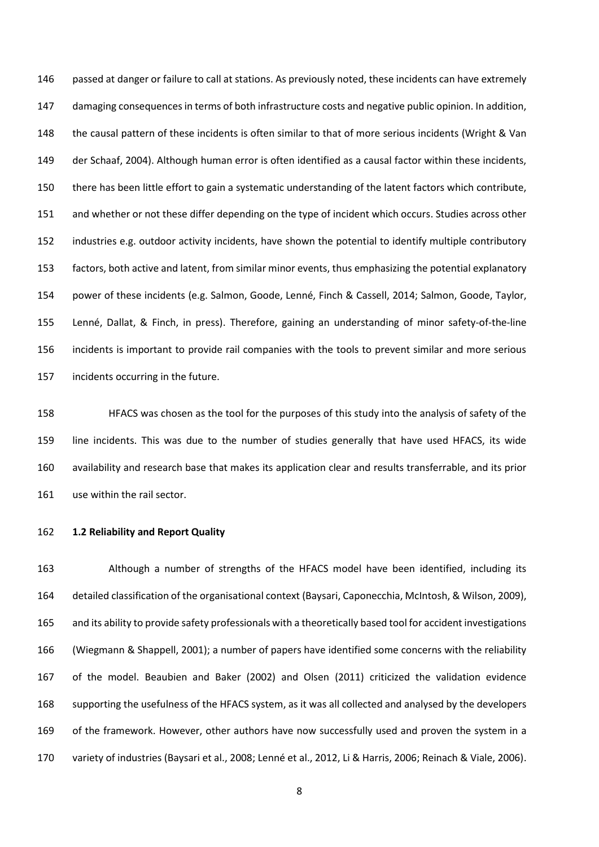passed at danger or failure to call at stations. As previously noted, these incidents can have extremely damaging consequences in terms of both infrastructure costs and negative public opinion. In addition, the causal pattern of these incidents is often similar to that of more serious incidents (Wright & Van der Schaaf, 2004). Although human error is often identified as a causal factor within these incidents, there has been little effort to gain a systematic understanding of the latent factors which contribute, and whether or not these differ depending on the type of incident which occurs. Studies across other industries e.g. outdoor activity incidents, have shown the potential to identify multiple contributory factors, both active and latent, from similar minor events, thus emphasizing the potential explanatory 154 power of these incidents (e.g. Salmon, Goode, Lenné, Finch & Cassell, 2014; Salmon, Goode, Taylor, LennÈ, Dallat, & Finch, in press). Therefore, gaining an understanding of minor safety-of-the-line incidents is important to provide rail companies with the tools to prevent similar and more serious incidents occurring in the future.

 HFACS was chosen as the tool for the purposes of this study into the analysis of safety of the line incidents. This was due to the number of studies generally that have used HFACS, its wide availability and research base that makes its application clear and results transferrable, and its prior use within the rail sector.

### **1.2 Reliability and Report Quality**

 Although a number of strengths of the HFACS model have been identified, including its detailed classification of the organisational context (Baysari, Caponecchia, McIntosh, & Wilson, 2009), and its ability to provide safety professionals with a theoretically based tool for accident investigations (Wiegmann & Shappell, 2001); a number of papers have identified some concerns with the reliability of the model. Beaubien and Baker (2002) and Olsen (2011) criticized the validation evidence supporting the usefulness of the HFACS system, as it was all collected and analysed by the developers of the framework. However, other authors have now successfully used and proven the system in a 170 variety of industries (Baysari et al., 2008; Lenné et al., 2012, Li & Harris, 2006; Reinach & Viale, 2006).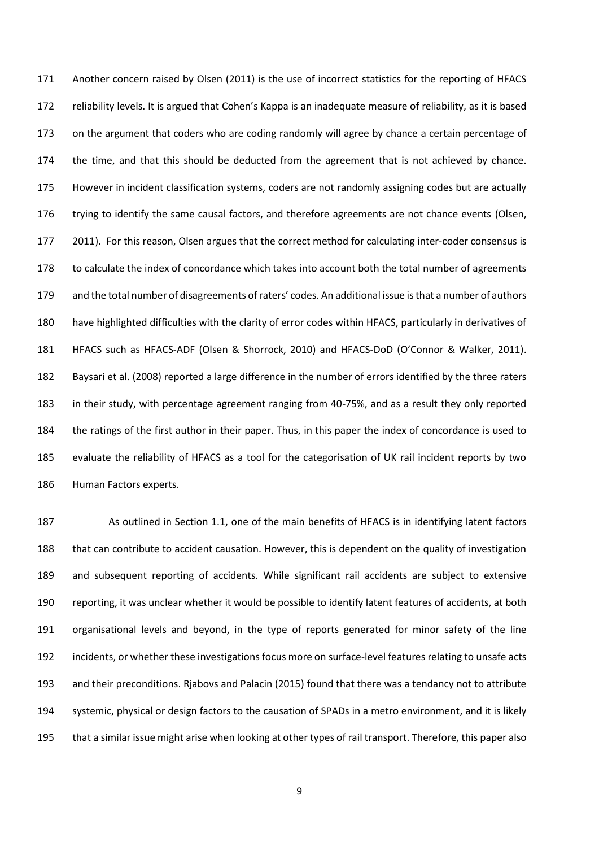Another concern raised by Olsen (2011) is the use of incorrect statistics for the reporting of HFACS 172 reliability levels. It is argued that Cohen's Kappa is an inadequate measure of reliability, as it is based 173 on the argument that coders who are coding randomly will agree by chance a certain percentage of the time, and that this should be deducted from the agreement that is not achieved by chance. However in incident classification systems, coders are not randomly assigning codes but are actually trying to identify the same causal factors, and therefore agreements are not chance events (Olsen, 2011). For this reason, Olsen argues that the correct method for calculating inter-coder consensus is to calculate the index of concordance which takes into account both the total number of agreements 179 and the total number of disagreements of raters' codes. An additional issue is that a number of authors have highlighted difficulties with the clarity of error codes within HFACS, particularly in derivatives of 181 HFACS such as HFACS-ADF (Olsen & Shorrock, 2010) and HFACS-DoD (O'Connor & Walker, 2011). Baysari et al. (2008) reported a large difference in the number of errors identified by the three raters in their study, with percentage agreement ranging from 40-75%, and as a result they only reported the ratings of the first author in their paper. Thus, in this paper the index of concordance is used to evaluate the reliability of HFACS as a tool for the categorisation of UK rail incident reports by two Human Factors experts.

 As outlined in Section 1.1, one of the main benefits of HFACS is in identifying latent factors that can contribute to accident causation. However, this is dependent on the quality of investigation and subsequent reporting of accidents. While significant rail accidents are subject to extensive reporting, it was unclear whether it would be possible to identify latent features of accidents, at both organisational levels and beyond, in the type of reports generated for minor safety of the line incidents, or whether these investigations focus more on surface-level features relating to unsafe acts and their preconditions. Rjabovs and Palacin (2015) found that there was a tendancy not to attribute systemic, physical or design factors to the causation of SPADs in a metro environment, and it is likely that a similar issue might arise when looking at other types of rail transport. Therefore, this paper also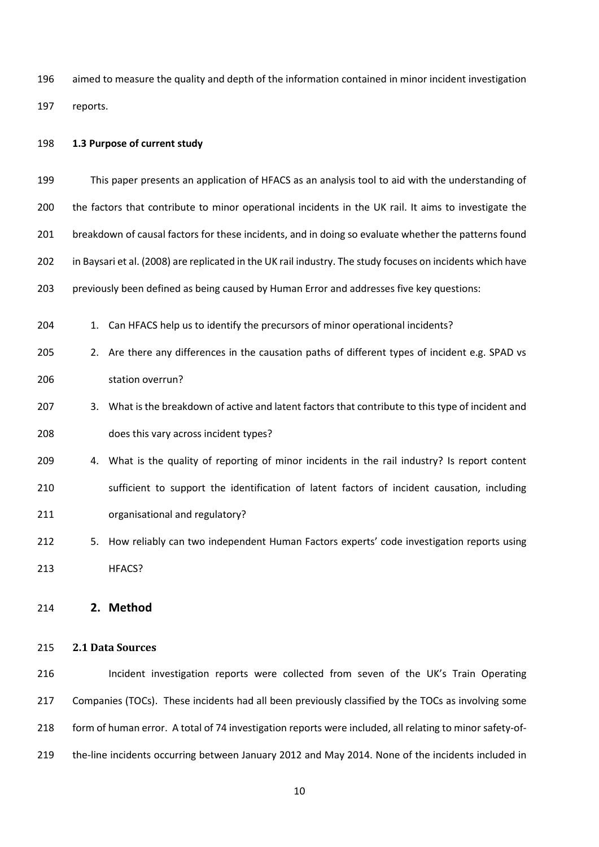aimed to measure the quality and depth of the information contained in minor incident investigation reports.

### **1.3 Purpose of current study**

 This paper presents an application of HFACS as an analysis tool to aid with the understanding of the factors that contribute to minor operational incidents in the UK rail. It aims to investigate the breakdown of causal factors for these incidents, and in doing so evaluate whether the patterns found in Baysari et al. (2008) are replicated in the UK rail industry. The study focuses on incidents which have previously been defined as being caused by Human Error and addresses five key questions:

- 204 1. Can HFACS help us to identify the precursors of minor operational incidents?
- 205 2. Are there any differences in the causation paths of different types of incident e.g. SPAD vs station overrun?
- 3. What is the breakdown of active and latent factors that contribute to this type of incident and does this vary across incident types?
- 209 4. What is the quality of reporting of minor incidents in the rail industry? Is report content sufficient to support the identification of latent factors of incident causation, including organisational and regulatory?
- 212 5. How reliably can two independent Human Factors experts' code investigation reports using HFACS?

**2. Method** 

# **2.1 Data Sources**

216 Incident investigation reports were collected from seven of the UK's Train Operating Companies (TOCs). These incidents had all been previously classified by the TOCs as involving some form of human error. A total of 74 investigation reports were included, all relating to minor safety-of-the-line incidents occurring between January 2012 and May 2014. None of the incidents included in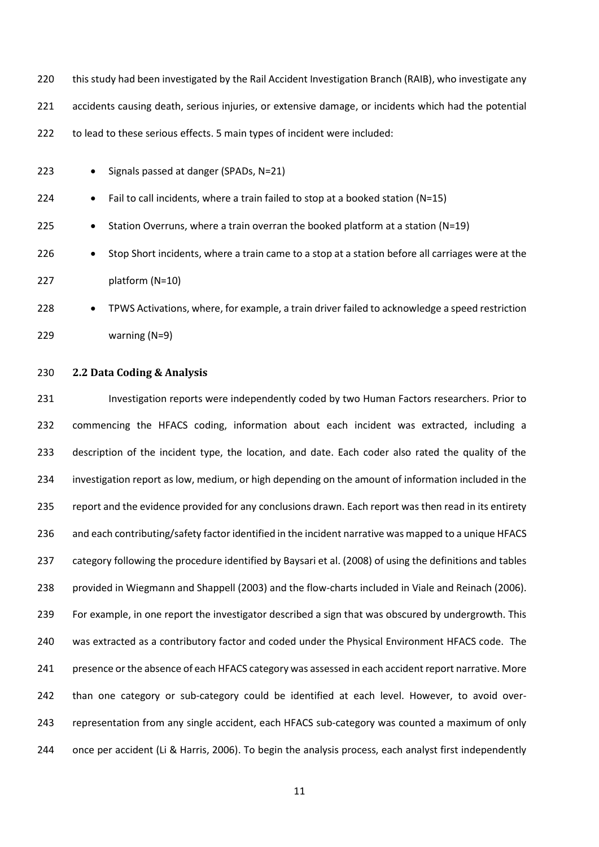| 220 | this study had been investigated by the Rail Accident Investigation Branch (RAIB), who investigate any |
|-----|--------------------------------------------------------------------------------------------------------|
| 221 | accidents causing death, serious injuries, or extensive damage, or incidents which had the potential   |
| 222 | to lead to these serious effects. 5 main types of incident were included:                              |

- 223 Signals passed at danger (SPADs, N=21)
- 224  $\bullet$  Fail to call incidents, where a train failed to stop at a booked station (N=15)
- 225 Station Overruns, where a train overran the booked platform at a station  $(N=19)$
- 226 Stop Short incidents, where a train came to a stop at a station before all carriages were at the platform (N=10)
- 228 TPWS Activations, where, for example, a train driver failed to acknowledge a speed restriction warning (N=9)

### **2.2 Data Coding & Analysis**

<span id="page-11-0"></span> Investigation reports were independently coded by two Human Factors researchers. Prior to commencing the HFACS coding, information about each incident was extracted, including a description of the incident type, the location, and date. Each coder also rated the quality of the investigation report as low, medium, or high depending on the amount of information included in the report and the evidence provided for any conclusions drawn. Each report was then read in its entirety and each contributing/safety factor identified in the incident narrative was mapped to a unique HFACS category following the procedure identified by Baysari et al. (2008) of using the definitions and tables provided in Wiegmann and Shappell (2003) and the flow-charts included in Viale and Reinach (2006). For example, in one report the investigator described a sign that was obscured by undergrowth. This was extracted as a contributory factor and coded under the Physical Environment HFACS code. The presence or the absence of each HFACS category was assessed in each accident report narrative. More than one category or sub-category could be identified at each level. However, to avoid over- representation from any single accident, each HFACS sub-category was counted a maximum of only once per accident (Li & Harris, 2006). To begin the analysis process, each analyst first independently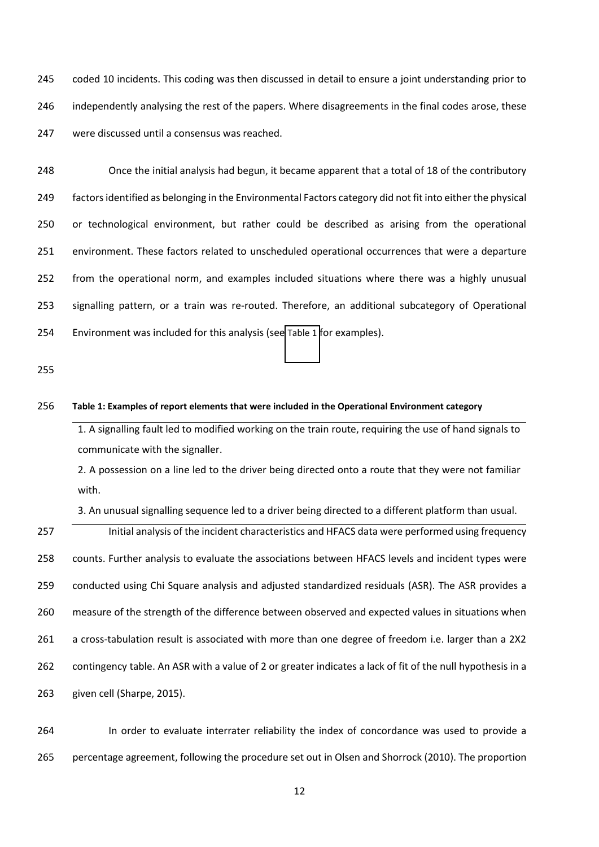245 coded 10 incidents. This coding was then discussed in detail to ensure a joint understanding prior to independently analysing the rest of the papers. Where disagreements in the final codes arose, these were discussed until a consensus was reached.

 Once the initial analysis had begun, it became apparent that a total of 18 of the contributory factors identified as belonging in the Environmental Factors category did not fit into either the physical or technological environment, but rather could be described as arising from the operational environment. These factors related to unscheduled operational occurrences that were a departure from the operational norm, and examples included situations where there was a highly unusual signalling pattern, or a train was re-routed. Therefore, an additional subcategory of Operational Environment was included for this analysis (see [Table 1](#page-11-0) for examples).

### **Table 1: Examples of report elements that were included in the Operational Environment category**

1. A signalling fault led to modified working on the train route, requiring the use of hand signals to communicate with the signaller.

2. A possession on a line led to the driver being directed onto a route that they were not familiar with.

3. An unusual signalling sequence led to a driver being directed to a different platform than usual.

 Initial analysis of the incident characteristics and HFACS data were performed using frequency counts. Further analysis to evaluate the associations between HFACS levels and incident types were conducted using Chi Square analysis and adjusted standardized residuals (ASR). The ASR provides a measure of the strength of the difference between observed and expected values in situations when a cross-tabulation result is associated with more than one degree of freedom i.e. larger than a 2X2 contingency table. An ASR with a value of 2 or greater indicates a lack of fit of the null hypothesis in a given cell (Sharpe, 2015).

 In order to evaluate interrater reliability the index of concordance was used to provide a percentage agreement, following the procedure set out in Olsen and Shorrock (2010). The proportion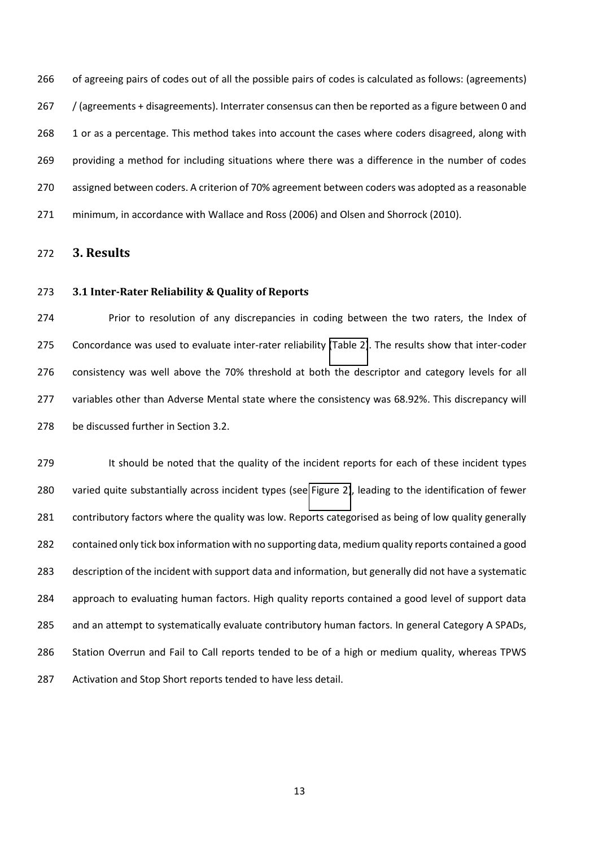of agreeing pairs of codes out of all the possible pairs of codes is calculated as follows: (agreements) / (agreements + disagreements). Interrater consensus can then be reported as a figure between 0 and 268 1 or as a percentage. This method takes into account the cases where coders disagreed, along with providing a method for including situations where there was a difference in the number of codes assigned between coders. A criterion of 70% agreement between coders was adopted as a reasonable minimum, in accordance with Wallace and Ross (2006) and Olsen and Shorrock (2010).

# **3. Results**

# **3.1 Inter-Rater Reliability & Quality of Reports**

<span id="page-13-0"></span> Prior to resolution of any discrepancies in coding between the two raters, the Index of Concordance was used to evaluate inter-rater reliability [\(Table 2\)](#page-14-0). The results show that inter-coder consistency was well above the 70% threshold at both the descriptor and category levels for all variables other than Adverse Mental state where the consistency was 68.92%. This discrepancy will be discussed further in Section 3.2.

279 It should be noted that the quality of the incident reports for each of these incident types varied quite substantially across incident types (see [Figure 2\)](#page-13-0), leading to the identification of fewer contributory factors where the quality was low. Reports categorised as being of low quality generally contained only tick box information with no supporting data, medium quality reports contained a good description of the incident with support data and information, but generally did not have a systematic approach to evaluating human factors. High quality reports contained a good level of support data and an attempt to systematically evaluate contributory human factors. In general Category A SPADs, Station Overrun and Fail to Call reports tended to be of a high or medium quality, whereas TPWS Activation and Stop Short reports tended to have less detail.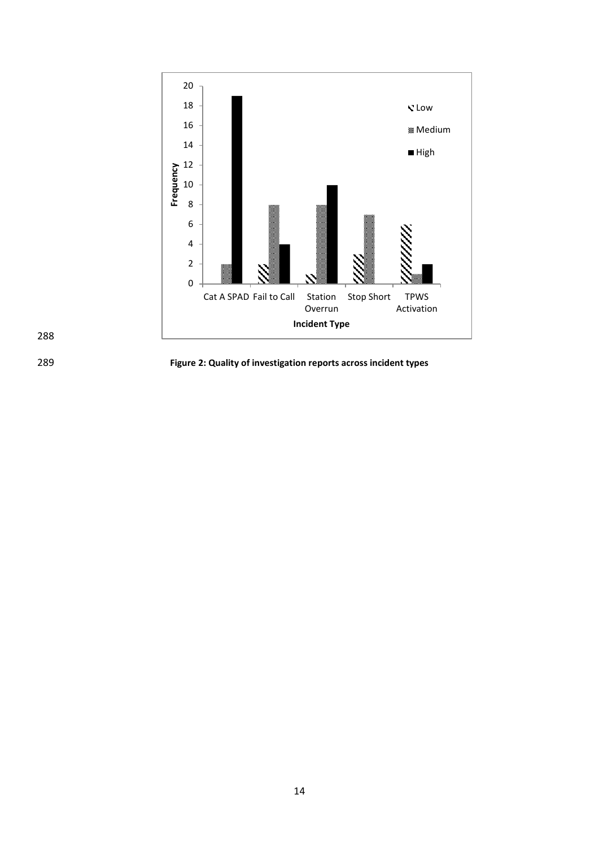<span id="page-14-0"></span>



289 **Figure 2: Quality of investigation reports across incident types**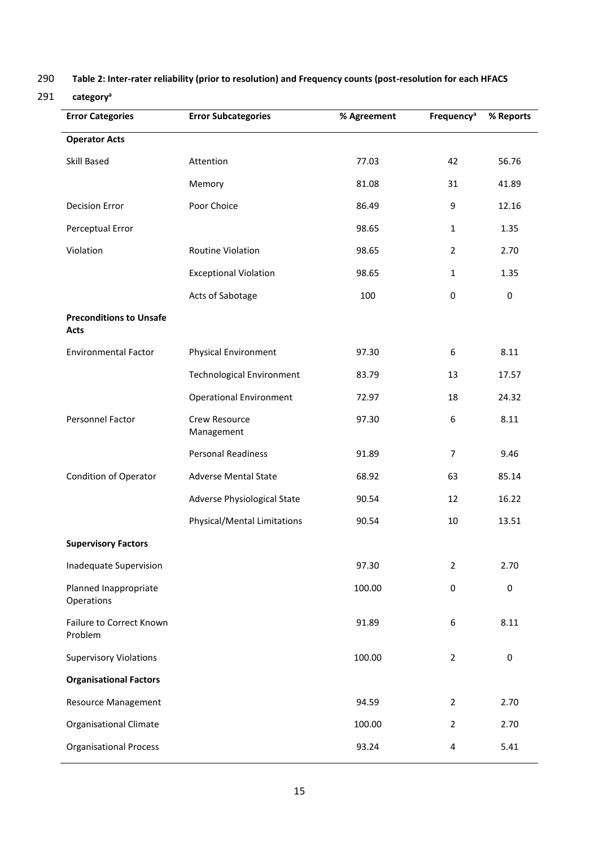| 290 |  | Table 2: Inter-rater reliability (prior to resolution) and Frequency counts (post-resolution for each HFACS |
|-----|--|-------------------------------------------------------------------------------------------------------------|
|-----|--|-------------------------------------------------------------------------------------------------------------|

**category<sup>a</sup>**291

| <b>Error Categories</b>                | <b>Error Subcategories</b>         | % Agreement | Frequency <sup>a</sup> | % Reports |  |
|----------------------------------------|------------------------------------|-------------|------------------------|-----------|--|
| <b>Operator Acts</b>                   |                                    |             |                        |           |  |
| Skill Based                            | Attention                          | 77.03       | 42                     | 56.76     |  |
|                                        | Memory                             | 81.08       | 31                     | 41.89     |  |
| <b>Decision Error</b>                  | Poor Choice                        | 86.49       | 9                      | 12.16     |  |
| Perceptual Error                       |                                    | 98.65       | $\mathbf{1}$           | 1.35      |  |
| Violation                              | Routine Violation                  | 98.65       | $\overline{2}$         | 2.70      |  |
|                                        | <b>Exceptional Violation</b>       | 98.65       | $\mathbf{1}$           | 1.35      |  |
|                                        | Acts of Sabotage                   | 100         | $\mathbf 0$            | 0         |  |
| <b>Preconditions to Unsafe</b><br>Acts |                                    |             |                        |           |  |
| <b>Environmental Factor</b>            | <b>Physical Environment</b>        | 97.30       | 6                      | 8.11      |  |
|                                        | <b>Technological Environment</b>   | 83.79       | 13                     | 17.57     |  |
|                                        | <b>Operational Environment</b>     | 72.97       | 18                     | 24.32     |  |
| Personnel Factor                       | Crew Resource<br>Management        | 97.30       | 6                      | 8.11      |  |
|                                        | <b>Personal Readiness</b>          | 91.89       | $\overline{7}$         | 9.46      |  |
| Condition of Operator                  | <b>Adverse Mental State</b>        | 68.92       | 63                     | 85.14     |  |
|                                        | Adverse Physiological State        | 90.54       | 12                     | 16.22     |  |
|                                        | <b>Physical/Mental Limitations</b> | 90.54       | 10                     | 13.51     |  |
| <b>Supervisory Factors</b>             |                                    |             |                        |           |  |
| Inadequate Supervision                 |                                    | 97.30       | $\overline{2}$         | 2.70      |  |
| Planned Inappropriate<br>Operations    |                                    | 100.00      | $\pmb{0}$              | $\pmb{0}$ |  |
| Failure to Correct Known<br>Problem    |                                    | 91.89       | 6                      | 8.11      |  |
| <b>Supervisory Violations</b>          |                                    | 100.00      | $\overline{2}$         | 0         |  |
| <b>Organisational Factors</b>          |                                    |             |                        |           |  |
| <b>Resource Management</b>             |                                    | 94.59       | $\overline{2}$         | 2.70      |  |
| <b>Organisational Climate</b>          |                                    | 100.00      | $\overline{2}$         | 2.70      |  |
| <b>Organisational Process</b>          |                                    | 93.24       | 4                      | 5.41      |  |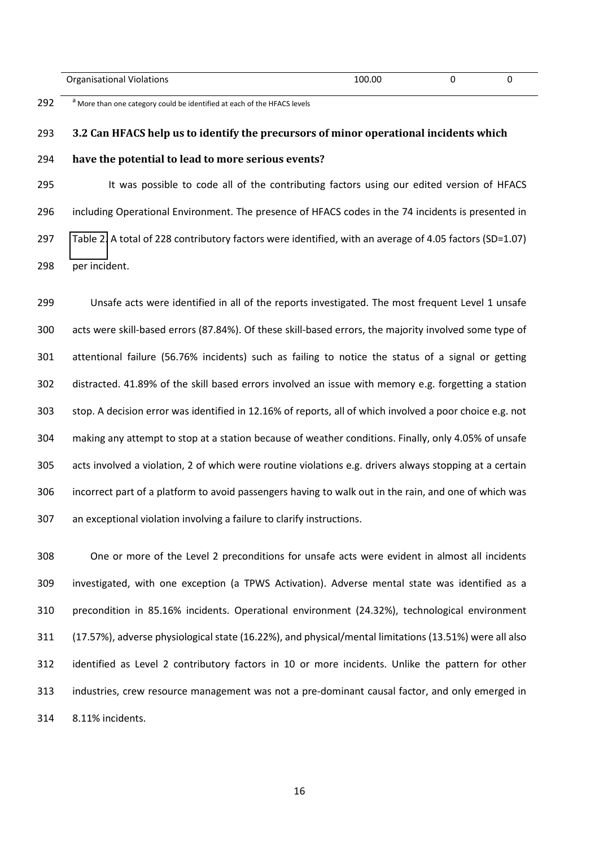| Organisational Violations | 100.00 |  |
|---------------------------|--------|--|
|                           |        |  |

292 <sup>a</sup> More than one category could be identified at each of the HFACS levels

# **3.2 Can HFACS help us to identify the precursors of minor operational incidents which have the potential to lead to more serious events?**

295 It was possible to code all of the contributing factors using our edited version of HFACS including Operational Environment. The presence of HFACS codes in the 74 incidents is presented in [Table 2.](#page-14-0) A total of 228 contributory factors were identified, with an average of 4.05 factors (SD=1.07) per incident.

 Unsafe acts were identified in all of the reports investigated. The most frequent Level 1 unsafe acts were skill-based errors (87.84%). Of these skill-based errors, the majority involved some type of attentional failure (56.76% incidents) such as failing to notice the status of a signal or getting distracted. 41.89% of the skill based errors involved an issue with memory e.g. forgetting a station stop. A decision error was identified in 12.16% of reports, all of which involved a poor choice e.g. not making any attempt to stop at a station because of weather conditions. Finally, only 4.05% of unsafe acts involved a violation, 2 of which were routine violations e.g. drivers always stopping at a certain incorrect part of a platform to avoid passengers having to walk out in the rain, and one of which was an exceptional violation involving a failure to clarify instructions.

 One or more of the Level 2 preconditions for unsafe acts were evident in almost all incidents investigated, with one exception (a TPWS Activation). Adverse mental state was identified as a precondition in 85.16% incidents. Operational environment (24.32%), technological environment (17.57%), adverse physiological state (16.22%), and physical/mental limitations (13.51%) were all also identified as Level 2 contributory factors in 10 or more incidents. Unlike the pattern for other industries, crew resource management was not a pre-dominant causal factor, and only emerged in 8.11% incidents.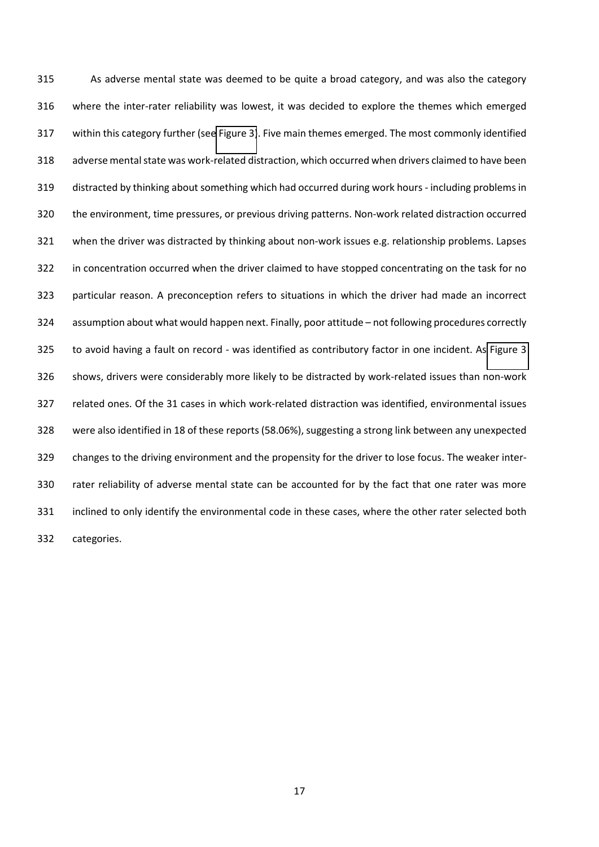<span id="page-17-0"></span> As adverse mental state was deemed to be quite a broad category, and was also the category where the inter-rater reliability was lowest, it was decided to explore the themes which emerged within this category further (se[e Figure 3\)](#page-17-0). Five main themes emerged. The most commonly identified adverse mental state was work-related distraction, which occurred when drivers claimed to have been distracted by thinking about something which had occurred during work hours - including problems in the environment, time pressures, or previous driving patterns. Non-work related distraction occurred when the driver was distracted by thinking about non-work issues e.g. relationship problems. Lapses in concentration occurred when the driver claimed to have stopped concentrating on the task for no particular reason. A preconception refers to situations in which the driver had made an incorrect 324 assumption about what would happen next. Finally, poor attitude - not following procedures correctly to avoid having a fault on record - was identified as contributory factor in one incident. As [Figure 3](#page-17-0)  shows, drivers were considerably more likely to be distracted by work-related issues than non-work related ones. Of the 31 cases in which work-related distraction was identified, environmental issues were also identified in 18 of these reports (58.06%), suggesting a strong link between any unexpected changes to the driving environment and the propensity for the driver to lose focus. The weaker inter- rater reliability of adverse mental state can be accounted for by the fact that one rater was more inclined to only identify the environmental code in these cases, where the other rater selected both categories.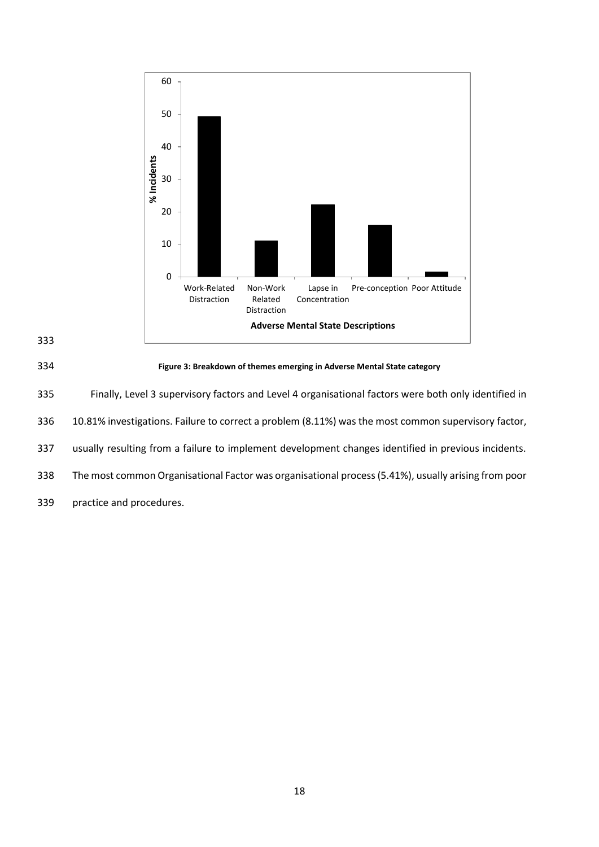<span id="page-18-0"></span>



### 334 **Figure 3: Breakdown of themes emerging in Adverse Mental State category**

 Finally, Level 3 supervisory factors and Level 4 organisational factors were both only identified in 10.81% investigations. Failure to correct a problem (8.11%) was the most common supervisory factor, usually resulting from a failure to implement development changes identified in previous incidents. The most common Organisational Factor was organisational process (5.41%), usually arising from poor practice and procedures.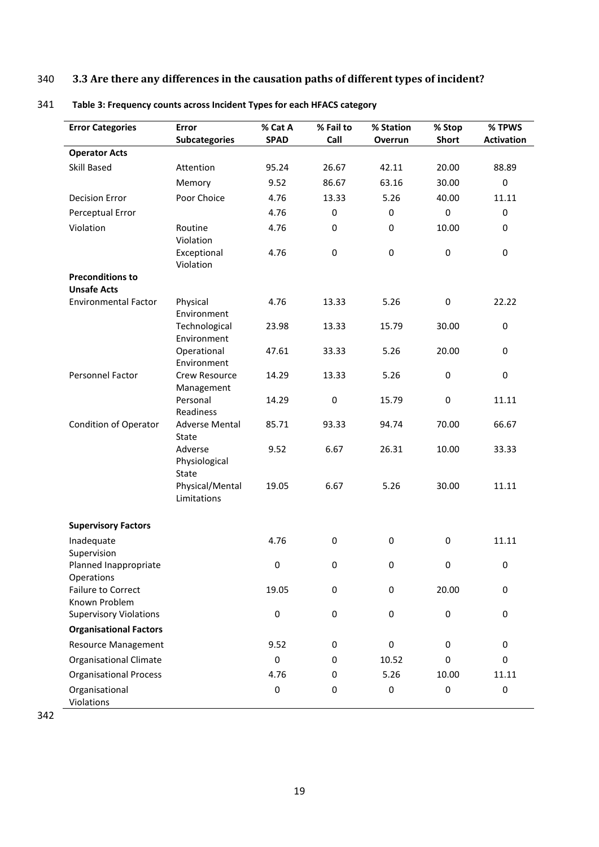# 340 **3.3 Are there any differences in the causation paths of different types of incident?**

<span id="page-19-0"></span>

| <b>Error Categories</b>                       | Error<br><b>Subcategories</b>           | % Cat A<br><b>SPAD</b> | % Fail to<br>Call | % Station<br>Overrun | % Stop<br><b>Short</b> | % TPWS<br><b>Activation</b> |
|-----------------------------------------------|-----------------------------------------|------------------------|-------------------|----------------------|------------------------|-----------------------------|
| <b>Operator Acts</b>                          |                                         |                        |                   |                      |                        |                             |
| Skill Based                                   | Attention                               | 95.24                  | 26.67             | 42.11                | 20.00                  | 88.89                       |
|                                               | Memory                                  | 9.52                   | 86.67             | 63.16                | 30.00                  | $\boldsymbol{0}$            |
| <b>Decision Error</b>                         | Poor Choice                             | 4.76                   | 13.33             | 5.26                 | 40.00                  | 11.11                       |
| Perceptual Error                              |                                         | 4.76                   | $\pmb{0}$         | $\pmb{0}$            | $\pmb{0}$              | $\pmb{0}$                   |
| Violation                                     | Routine<br>Violation                    | 4.76                   | 0                 | 0                    | 10.00                  | 0                           |
|                                               | Exceptional<br>Violation                | 4.76                   | $\pmb{0}$         | $\pmb{0}$            | $\pmb{0}$              | 0                           |
| <b>Preconditions to</b><br><b>Unsafe Acts</b> |                                         |                        |                   |                      |                        |                             |
| <b>Environmental Factor</b>                   | Physical<br>Environment                 | 4.76                   | 13.33             | 5.26                 | $\pmb{0}$              | 22.22                       |
|                                               | Technological<br>Environment            | 23.98                  | 13.33             | 15.79                | 30.00                  | 0                           |
|                                               | Operational<br>Environment              | 47.61                  | 33.33             | 5.26                 | 20.00                  | 0                           |
| Personnel Factor                              | Crew Resource<br>Management             | 14.29                  | 13.33             | 5.26                 | $\pmb{0}$              | $\pmb{0}$                   |
|                                               | Personal<br>Readiness                   | 14.29                  | $\mathbf 0$       | 15.79                | $\boldsymbol{0}$       | 11.11                       |
| Condition of Operator                         | <b>Adverse Mental</b><br>State          | 85.71                  | 93.33             | 94.74                | 70.00                  | 66.67                       |
|                                               | Adverse<br>Physiological                | 9.52                   | 6.67              | 26.31                | 10.00                  | 33.33                       |
|                                               | State<br>Physical/Mental<br>Limitations | 19.05                  | 6.67              | 5.26                 | 30.00                  | 11.11                       |
| <b>Supervisory Factors</b>                    |                                         |                        |                   |                      |                        |                             |
| Inadequate<br>Supervision                     |                                         | 4.76                   | $\pmb{0}$         | $\boldsymbol{0}$     | $\pmb{0}$              | 11.11                       |
| Planned Inappropriate<br>Operations           |                                         | $\boldsymbol{0}$       | 0                 | 0                    | 0                      | 0                           |
| <b>Failure to Correct</b><br>Known Problem    |                                         | 19.05                  | 0                 | 0                    | 20.00                  | $\boldsymbol{0}$            |
| <b>Supervisory Violations</b>                 |                                         | $\boldsymbol{0}$       | $\pmb{0}$         | $\pmb{0}$            | 0                      | $\boldsymbol{0}$            |
| <b>Organisational Factors</b>                 |                                         |                        |                   |                      |                        |                             |
| <b>Resource Management</b>                    |                                         | 9.52                   | 0                 | $\pmb{0}$            | 0                      | 0                           |
| <b>Organisational Climate</b>                 |                                         | $\pmb{0}$              | 0                 | 10.52                | 0                      | 0                           |
| <b>Organisational Process</b>                 |                                         | 4.76                   | 0                 | 5.26                 | 10.00                  | 11.11                       |
| Organisational<br>Violations                  |                                         | $\boldsymbol{0}$       | 0                 | $\pmb{0}$            | $\pmb{0}$              | $\pmb{0}$                   |

# 341 **Table 3: Frequency counts across Incident Types for each HFACS category**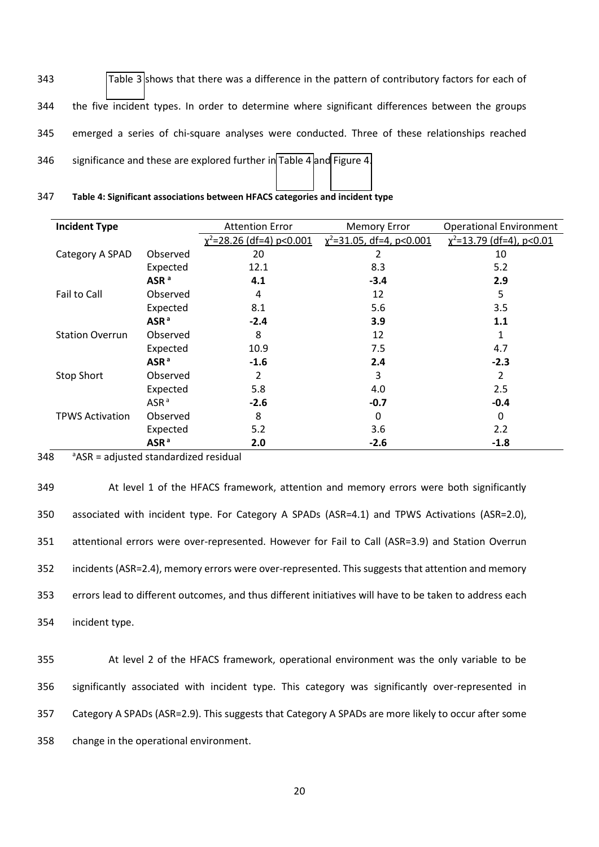[Table 3](#page-18-0) shows that there was a difference in the pattern of contributory factors for each of the five incident types. In order to determine where significant differences between the groups emerged a series of chi-square analyses were conducted. Three of these relationships reached significance and these are explored further in [Table 4](#page-19-0) and [Figure 4.](#page-20-0)

| <b>Incident Type</b>   |                  | <b>Attention Error</b>         | <b>Memory Error</b>            | <b>Operational Environment</b> |
|------------------------|------------------|--------------------------------|--------------------------------|--------------------------------|
|                        |                  | $\chi^2$ =28.26 (df=4) p<0.001 | $\chi^2$ =31.05, df=4, p<0.001 | $x^2$ =13.79 (df=4), p<0.01    |
| Category A SPAD        | Observed         | 20                             | 2                              | 10                             |
|                        | Expected         | 12.1                           | 8.3                            | 5.2                            |
|                        | ASR <sup>a</sup> | 4.1                            | $-3.4$                         | 2.9                            |
| Fail to Call           | Observed         | 4                              | 12                             | 5                              |
|                        | Expected         | 8.1                            | 5.6                            | 3.5                            |
|                        | ASR <sup>a</sup> | $-2.4$                         | 3.9                            | 1.1                            |
| <b>Station Overrun</b> | Observed         | 8                              | 12                             | 1                              |
|                        | Expected         | 10.9                           | 7.5                            | 4.7                            |
|                        | ASR <sup>a</sup> | $-1.6$                         | 2.4                            | $-2.3$                         |
| <b>Stop Short</b>      | Observed         | 2                              | 3                              | 2                              |
|                        | Expected         | 5.8                            | 4.0                            | 2.5                            |
|                        | ASR <sup>a</sup> | $-2.6$                         | $-0.7$                         | $-0.4$                         |
| <b>TPWS Activation</b> | Observed         | 8                              | 0                              | 0                              |
|                        | Expected         | 5.2                            | 3.6                            | 2.2                            |
|                        | ASR <sup>a</sup> | 2.0                            | $-2.6$                         | $-1.8$                         |

347 **Table 4: Significant associations between HFACS categories and incident type** 

<span id="page-20-0"></span> $348$  <sup>a</sup>ASR = adjusted standardized residual

 At level 1 of the HFACS framework, attention and memory errors were both significantly associated with incident type. For Category A SPADs (ASR=4.1) and TPWS Activations (ASR=2.0), attentional errors were over-represented. However for Fail to Call (ASR=3.9) and Station Overrun incidents (ASR=2.4), memory errors were over-represented. This suggests that attention and memory errors lead to different outcomes, and thus different initiatives will have to be taken to address each incident type.

 At level 2 of the HFACS framework, operational environment was the only variable to be significantly associated with incident type. This category was significantly over-represented in Category A SPADs (ASR=2.9). This suggests that Category A SPADs are more likely to occur after some change in the operational environment.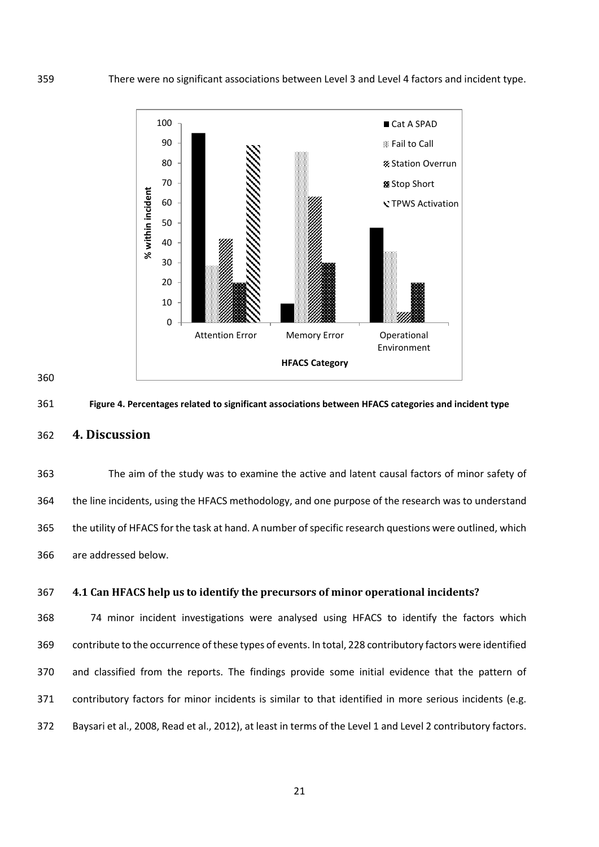



# **4. Discussion**

 The aim of the study was to examine the active and latent causal factors of minor safety of the line incidents, using the HFACS methodology, and one purpose of the research was to understand the utility of HFACS for the task at hand. A number of specific research questions were outlined, which are addressed below.

# **4.1 Can HFACS help us to identify the precursors of minor operational incidents?**

 74 minor incident investigations were analysed using HFACS to identify the factors which contribute to the occurrence of these types of events. In total, 228 contributory factors were identified and classified from the reports. The findings provide some initial evidence that the pattern of 371 contributory factors for minor incidents is similar to that identified in more serious incidents (e.g. Baysari et al., 2008, Read et al., 2012), at least in terms of the Level 1 and Level 2 contributory factors.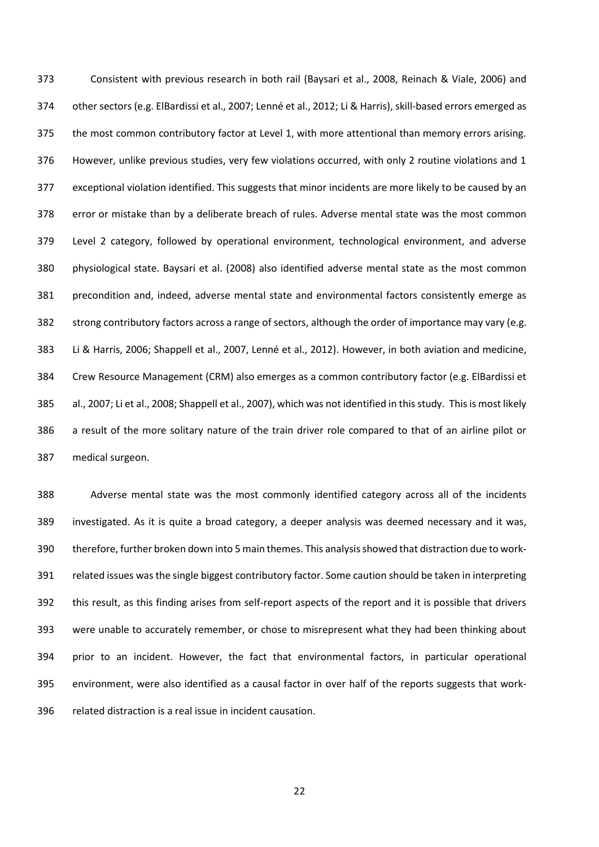Consistent with previous research in both rail (Baysari et al., 2008, Reinach & Viale, 2006) and 374 other sectors (e.g. ElBardissi et al., 2007; Lenné et al., 2012; Li & Harris), skill-based errors emerged as the most common contributory factor at Level 1, with more attentional than memory errors arising. However, unlike previous studies, very few violations occurred, with only 2 routine violations and 1 exceptional violation identified. This suggests that minor incidents are more likely to be caused by an error or mistake than by a deliberate breach of rules. Adverse mental state was the most common Level 2 category, followed by operational environment, technological environment, and adverse physiological state. Baysari et al. (2008) also identified adverse mental state as the most common precondition and, indeed, adverse mental state and environmental factors consistently emerge as strong contributory factors across a range of sectors, although the order of importance may vary (e.g. 383 Li & Harris, 2006; Shappell et al., 2007, Lenné et al., 2012). However, in both aviation and medicine, Crew Resource Management (CRM) also emerges as a common contributory factor (e.g. ElBardissi et al., 2007; Li et al., 2008; Shappell et al., 2007), which was not identified in this study. This is most likely a result of the more solitary nature of the train driver role compared to that of an airline pilot or medical surgeon.

 Adverse mental state was the most commonly identified category across all of the incidents investigated. As it is quite a broad category, a deeper analysis was deemed necessary and it was, therefore, further broken down into 5 main themes. This analysis showed that distraction due to work- related issues was the single biggest contributory factor. Some caution should be taken in interpreting this result, as this finding arises from self-report aspects of the report and it is possible that drivers were unable to accurately remember, or chose to misrepresent what they had been thinking about prior to an incident. However, the fact that environmental factors, in particular operational environment, were also identified as a causal factor in over half of the reports suggests that work-related distraction is a real issue in incident causation.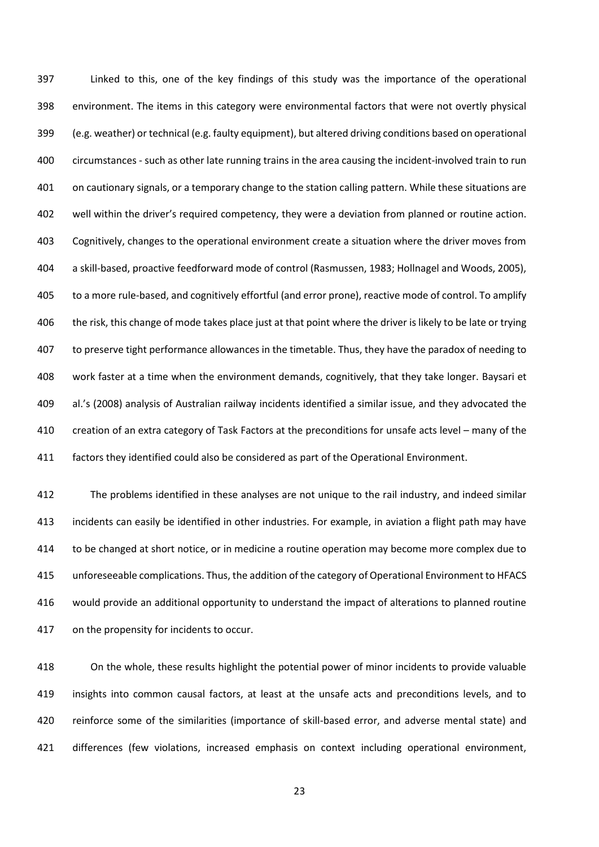Linked to this, one of the key findings of this study was the importance of the operational environment. The items in this category were environmental factors that were not overtly physical (e.g. weather) or technical (e.g. faulty equipment), but altered driving conditions based on operational circumstances - such as other late running trains in the area causing the incident-involved train to run on cautionary signals, or a temporary change to the station calling pattern. While these situations are 402 well within the driver's required competency, they were a deviation from planned or routine action. Cognitively, changes to the operational environment create a situation where the driver moves from a skill-based, proactive feedforward mode of control (Rasmussen, 1983; Hollnagel and Woods, 2005), to a more rule-based, and cognitively effortful (and error prone), reactive mode of control. To amplify 406 the risk, this change of mode takes place just at that point where the driver is likely to be late or trying to preserve tight performance allowances in the timetable. Thus, they have the paradox of needing to work faster at a time when the environment demands, cognitively, that they take longer. Baysari et 409 al.'s (2008) analysis of Australian railway incidents identified a similar issue, and they advocated the 410 creation of an extra category of Task Factors at the preconditions for unsafe acts level - many of the factors they identified could also be considered as part of the Operational Environment.

 The problems identified in these analyses are not unique to the rail industry, and indeed similar incidents can easily be identified in other industries. For example, in aviation a flight path may have 414 to be changed at short notice, or in medicine a routine operation may become more complex due to unforeseeable complications. Thus, the addition of the category of Operational Environment to HFACS would provide an additional opportunity to understand the impact of alterations to planned routine on the propensity for incidents to occur.

 On the whole, these results highlight the potential power of minor incidents to provide valuable insights into common causal factors, at least at the unsafe acts and preconditions levels, and to reinforce some of the similarities (importance of skill-based error, and adverse mental state) and differences (few violations, increased emphasis on context including operational environment,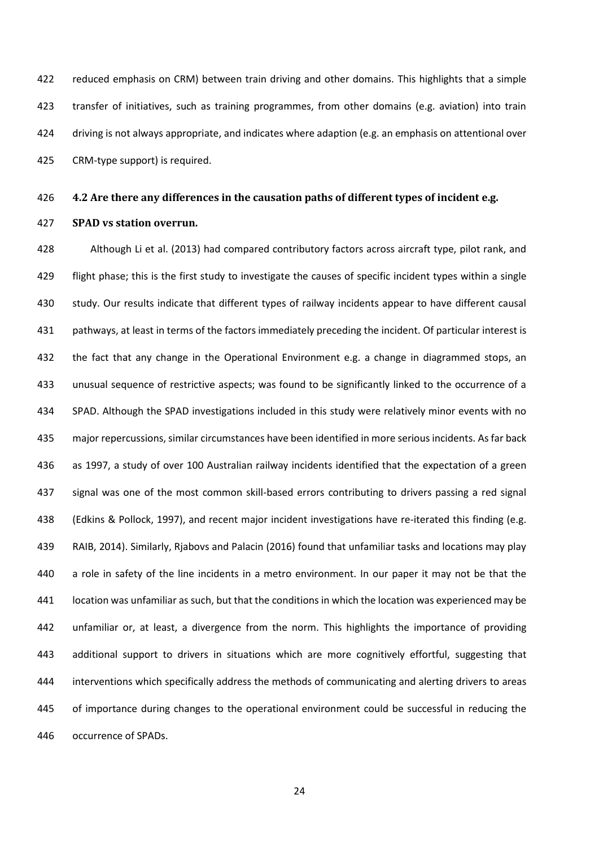reduced emphasis on CRM) between train driving and other domains. This highlights that a simple transfer of initiatives, such as training programmes, from other domains (e.g. aviation) into train driving is not always appropriate, and indicates where adaption (e.g. an emphasis on attentional over CRM-type support) is required.

### **4.2 Are there any differences in the causation paths of different types of incident e.g.**

### **SPAD vs station overrun.**

 Although Li et al. (2013) had compared contributory factors across aircraft type, pilot rank, and flight phase; this is the first study to investigate the causes of specific incident types within a single study. Our results indicate that different types of railway incidents appear to have different causal pathways, at least in terms of the factors immediately preceding the incident. Of particular interest is 432 the fact that any change in the Operational Environment e.g. a change in diagrammed stops, an unusual sequence of restrictive aspects; was found to be significantly linked to the occurrence of a SPAD. Although the SPAD investigations included in this study were relatively minor events with no major repercussions, similar circumstances have been identified in more serious incidents. As far back as 1997, a study of over 100 Australian railway incidents identified that the expectation of a green signal was one of the most common skill-based errors contributing to drivers passing a red signal (Edkins & Pollock, 1997), and recent major incident investigations have re-iterated this finding (e.g. RAIB, 2014). Similarly, Rjabovs and Palacin (2016) found that unfamiliar tasks and locations may play a role in safety of the line incidents in a metro environment. In our paper it may not be that the location was unfamiliar as such, but that the conditions in which the location was experienced may be unfamiliar or, at least, a divergence from the norm. This highlights the importance of providing additional support to drivers in situations which are more cognitively effortful, suggesting that interventions which specifically address the methods of communicating and alerting drivers to areas 445 of importance during changes to the operational environment could be successful in reducing the occurrence of SPADs.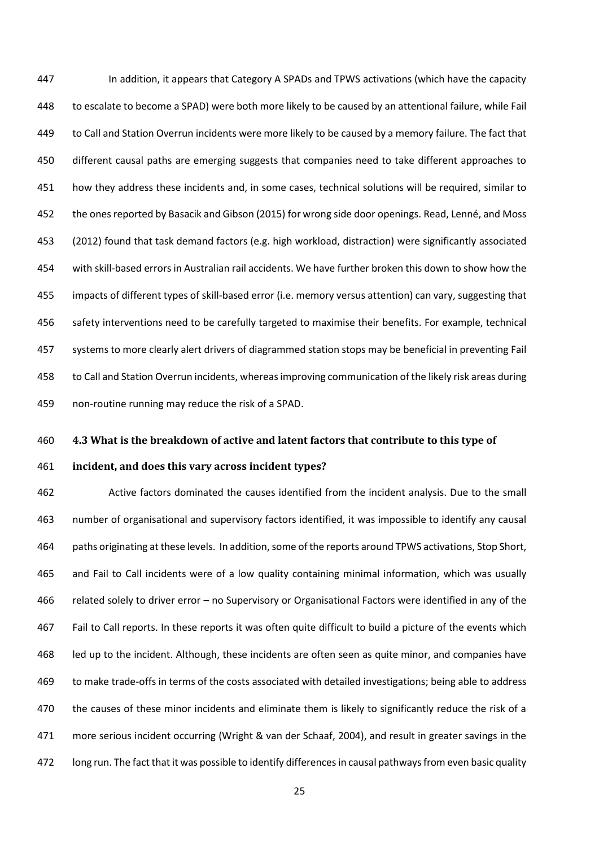In addition, it appears that Category A SPADs and TPWS activations (which have the capacity to escalate to become a SPAD) were both more likely to be caused by an attentional failure, while Fail to Call and Station Overrun incidents were more likely to be caused by a memory failure. The fact that different causal paths are emerging suggests that companies need to take different approaches to how they address these incidents and, in some cases, technical solutions will be required, similar to 452 the ones reported by Basacik and Gibson (2015) for wrong side door openings. Read, Lenné, and Moss (2012) found that task demand factors (e.g. high workload, distraction) were significantly associated with skill-based errors in Australian rail accidents. We have further broken this down to show how the impacts of different types of skill-based error (i.e. memory versus attention) can vary, suggesting that safety interventions need to be carefully targeted to maximise their benefits. For example, technical systems to more clearly alert drivers of diagrammed station stops may be beneficial in preventing Fail to Call and Station Overrun incidents, whereas improving communication of the likely risk areas during non-routine running may reduce the risk of a SPAD.

# **4.3 What is the breakdown of active and latent factors that contribute to this type of**

# **incident, and does this vary across incident types?**

 Active factors dominated the causes identified from the incident analysis. Due to the small number of organisational and supervisory factors identified, it was impossible to identify any causal paths originating at these levels. In addition, some of the reports around TPWS activations, Stop Short, and Fail to Call incidents were of a low quality containing minimal information, which was usually 466 related solely to driver error – no Supervisory or Organisational Factors were identified in any of the Fail to Call reports. In these reports it was often quite difficult to build a picture of the events which led up to the incident. Although, these incidents are often seen as quite minor, and companies have to make trade-offs in terms of the costs associated with detailed investigations; being able to address 470 the causes of these minor incidents and eliminate them is likely to significantly reduce the risk of a more serious incident occurring (Wright & van der Schaaf, 2004), and result in greater savings in the long run. The fact that it was possible to identify differences in causal pathways from even basic quality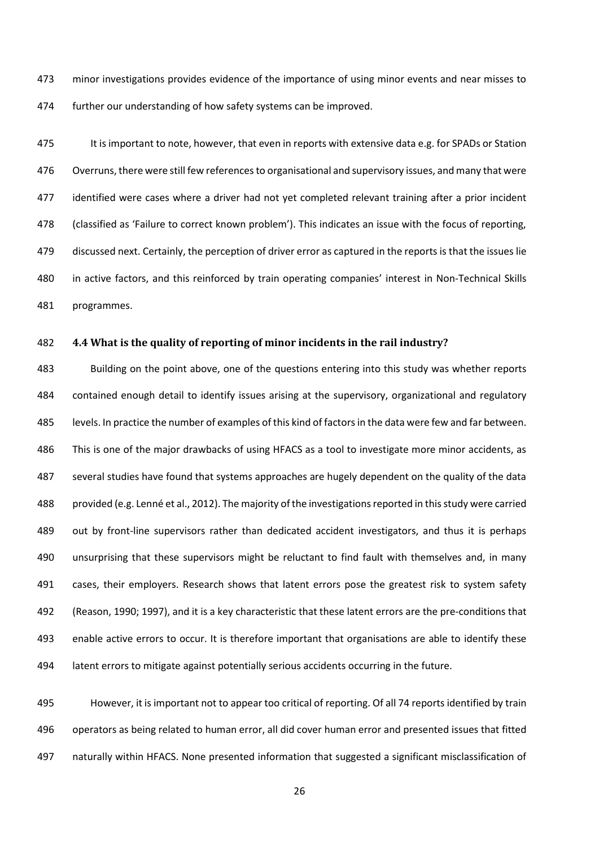minor investigations provides evidence of the importance of using minor events and near misses to further our understanding of how safety systems can be improved.

 It is important to note, however, that even in reports with extensive data e.g. for SPADs or Station Overruns, there were still few references to organisational and supervisory issues, and many that were identified were cases where a driver had not yet completed relevant training after a prior incident 478 (classified as 'Failure to correct known problem'). This indicates an issue with the focus of reporting, discussed next. Certainly, the perception of driver error as captured in the reports is that the issues lie 480 in active factors, and this reinforced by train operating companies' interest in Non-Technical Skills programmes.

# **4.4 What is the quality of reporting of minor incidents in the rail industry?**

 Building on the point above, one of the questions entering into this study was whether reports contained enough detail to identify issues arising at the supervisory, organizational and regulatory levels. In practice the number of examples of this kind of factors in the data were few and far between. This is one of the major drawbacks of using HFACS as a tool to investigate more minor accidents, as several studies have found that systems approaches are hugely dependent on the quality of the data 488 provided (e.g. Lenné et al., 2012). The majority of the investigations reported in this study were carried out by front-line supervisors rather than dedicated accident investigators, and thus it is perhaps unsurprising that these supervisors might be reluctant to find fault with themselves and, in many cases, their employers. Research shows that latent errors pose the greatest risk to system safety (Reason, 1990; 1997), and it is a key characteristic that these latent errors are the pre-conditions that enable active errors to occur. It is therefore important that organisations are able to identify these latent errors to mitigate against potentially serious accidents occurring in the future.

 However, it is important not to appear too critical of reporting. Of all 74 reports identified by train operators as being related to human error, all did cover human error and presented issues that fitted naturally within HFACS. None presented information that suggested a significant misclassification of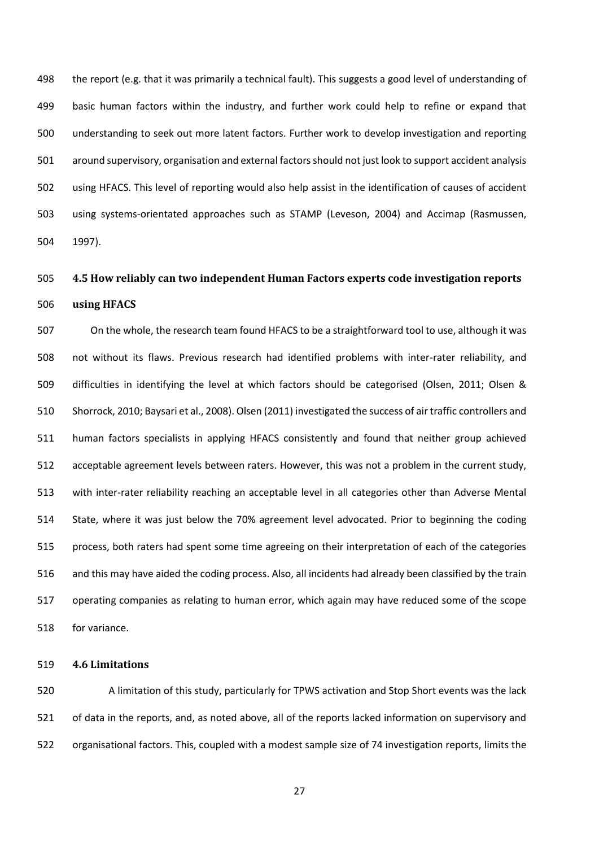the report (e.g. that it was primarily a technical fault). This suggests a good level of understanding of basic human factors within the industry, and further work could help to refine or expand that understanding to seek out more latent factors. Further work to develop investigation and reporting around supervisory, organisation and external factors should not just look to support accident analysis using HFACS. This level of reporting would also help assist in the identification of causes of accident using systems-orientated approaches such as STAMP (Leveson, 2004) and Accimap (Rasmussen, 1997).

# **4.5 How reliably can two independent Human Factors experts code investigation reports using HFACS**

 On the whole, the research team found HFACS to be a straightforward tool to use, although it was not without its flaws. Previous research had identified problems with inter-rater reliability, and difficulties in identifying the level at which factors should be categorised (Olsen, 2011; Olsen & Shorrock, 2010; Baysari et al., 2008). Olsen (2011) investigated the success of air traffic controllers and human factors specialists in applying HFACS consistently and found that neither group achieved acceptable agreement levels between raters. However, this was not a problem in the current study, with inter-rater reliability reaching an acceptable level in all categories other than Adverse Mental State, where it was just below the 70% agreement level advocated. Prior to beginning the coding process, both raters had spent some time agreeing on their interpretation of each of the categories and this may have aided the coding process. Also, all incidents had already been classified by the train operating companies as relating to human error, which again may have reduced some of the scope for variance.

#### **4.6 Limitations**

 A limitation of this study, particularly for TPWS activation and Stop Short events was the lack of data in the reports, and, as noted above, all of the reports lacked information on supervisory and organisational factors. This, coupled with a modest sample size of 74 investigation reports, limits the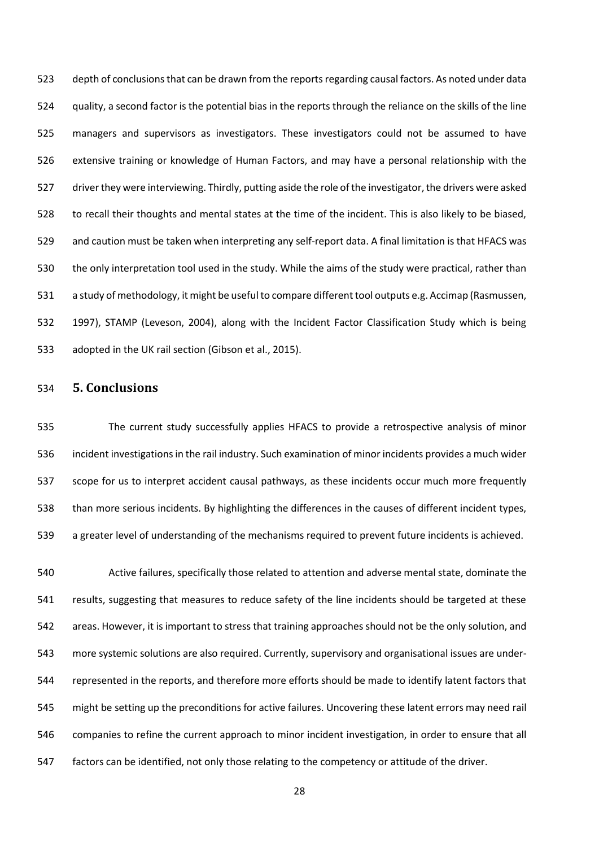depth of conclusions that can be drawn from the reports regarding causal factors. As noted under data quality, a second factor is the potential bias in the reports through the reliance on the skills of the line managers and supervisors as investigators. These investigators could not be assumed to have extensive training or knowledge of Human Factors, and may have a personal relationship with the driver they were interviewing. Thirdly, putting aside the role of the investigator, the drivers were asked to recall their thoughts and mental states at the time of the incident. This is also likely to be biased, and caution must be taken when interpreting any self-report data. A final limitation is that HFACS was the only interpretation tool used in the study. While the aims of the study were practical, rather than a study of methodology, it might be useful to compare different tool outputs e.g. Accimap (Rasmussen, 1997), STAMP (Leveson, 2004), along with the Incident Factor Classification Study which is being adopted in the UK rail section (Gibson et al., 2015).

# **5. Conclusions**

 The current study successfully applies HFACS to provide a retrospective analysis of minor incident investigations in the rail industry. Such examination of minor incidents provides a much wider scope for us to interpret accident causal pathways, as these incidents occur much more frequently than more serious incidents. By highlighting the differences in the causes of different incident types, a greater level of understanding of the mechanisms required to prevent future incidents is achieved.

 Active failures, specifically those related to attention and adverse mental state, dominate the results, suggesting that measures to reduce safety of the line incidents should be targeted at these areas. However, it is important to stress that training approaches should not be the only solution, and more systemic solutions are also required. Currently, supervisory and organisational issues are under- represented in the reports, and therefore more efforts should be made to identify latent factors that might be setting up the preconditions for active failures. Uncovering these latent errors may need rail companies to refine the current approach to minor incident investigation, in order to ensure that all factors can be identified, not only those relating to the competency or attitude of the driver.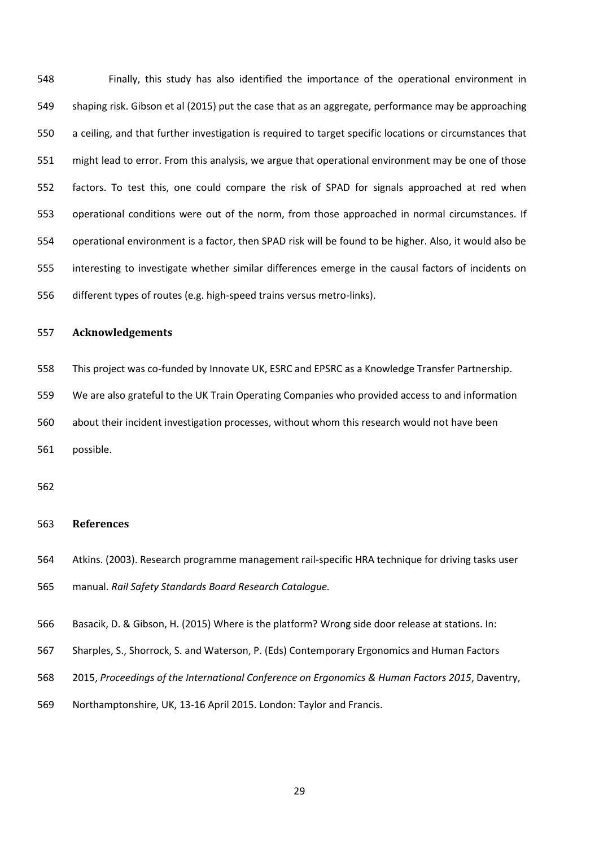Finally, this study has also identified the importance of the operational environment in shaping risk. Gibson et al (2015) put the case that as an aggregate, performance may be approaching a ceiling, and that further investigation is required to target specific locations or circumstances that might lead to error. From this analysis, we argue that operational environment may be one of those factors. To test this, one could compare the risk of SPAD for signals approached at red when operational conditions were out of the norm, from those approached in normal circumstances. If operational environment is a factor, then SPAD risk will be found to be higher. Also, it would also be interesting to investigate whether similar differences emerge in the causal factors of incidents on different types of routes (e.g. high-speed trains versus metro-links).

### **Acknowledgements**

This project was co-funded by Innovate UK, ESRC and EPSRC as a Knowledge Transfer Partnership.

We are also grateful to the UK Train Operating Companies who provided access to and information

about their incident investigation processes, without whom this research would not have been

possible.

# **References**

- Atkins. (2003). Research programme management rail-specific HRA technique for driving tasks user manual. *Rail Safety Standards Board Research Catalogue.*
- Basacik, D. & Gibson, H. (2015) Where is the platform? Wrong side door release at stations. In:
- Sharples, S., Shorrock, S. and Waterson, P. (Eds) Contemporary Ergonomics and Human Factors
- 2015, *Proceedings of the International Conference on Ergonomics & Human Factors 2015*, Daventry,
- Northamptonshire, UK, 13-16 April 2015. London: Taylor and Francis.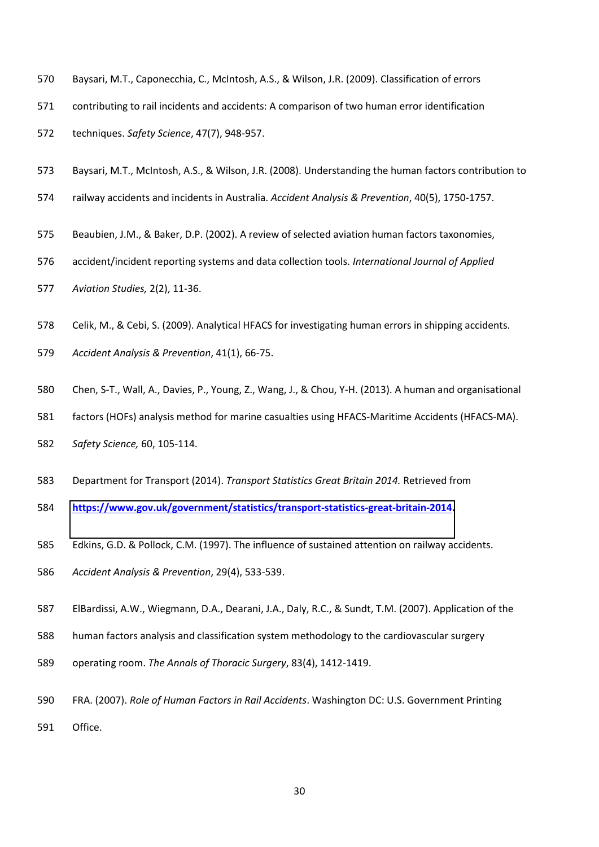- Baysari, M.T., Caponecchia, C., McIntosh, A.S., & Wilson, J.R. (2009). Classification of errors
- contributing to rail incidents and accidents: A comparison of two human error identification
- techniques. *Safety Science*, 47(7), 948-957.
- Baysari, M.T., McIntosh, A.S., & Wilson, J.R. (2008). Understanding the human factors contribution to
- railway accidents and incidents in Australia. *Accident Analysis & Prevention*, 40(5), 1750-1757.
- Beaubien, J.M., & Baker, D.P. (2002). A review of selected aviation human factors taxonomies,
- accident/incident reporting systems and data collection tools. *International Journal of Applied*
- *Aviation Studies,* 2(2), 11-36.
- Celik, M., & Cebi, S. (2009). Analytical HFACS for investigating human errors in shipping accidents.
- *Accident Analysis & Prevention*, 41(1), 66-75.
- Chen, S-T., Wall, A., Davies, P., Young, Z., Wang, J., & Chou, Y-H. (2013). A human and organisational
- factors (HOFs) analysis method for marine casualties using HFACS-Maritime Accidents (HFACS-MA).
- *Safety Science,* 60, 105-114.
- Department for Transport (2014). *Transport Statistics Great Britain 2014.* Retrieved from
- **[https://www.gov.uk/government/statistics/transport-statistics-great-britain-2014.](https://www.gov.uk/government/statistics/transport-statistics-great-britain-2014)**
- Edkins, G.D. & Pollock, C.M. (1997). The influence of sustained attention on railway accidents.
- *Accident Analysis & Prevention*, 29(4), 533-539.
- ElBardissi, A.W., Wiegmann, D.A., Dearani, J.A., Daly, R.C., & Sundt, T.M. (2007). Application of the
- human factors analysis and classification system methodology to the cardiovascular surgery
- operating room. *The Annals of Thoracic Surgery*, 83(4), 1412-1419.
- FRA. (2007). *Role of Human Factors in Rail Accidents*. Washington DC: U.S. Government Printing
- Office.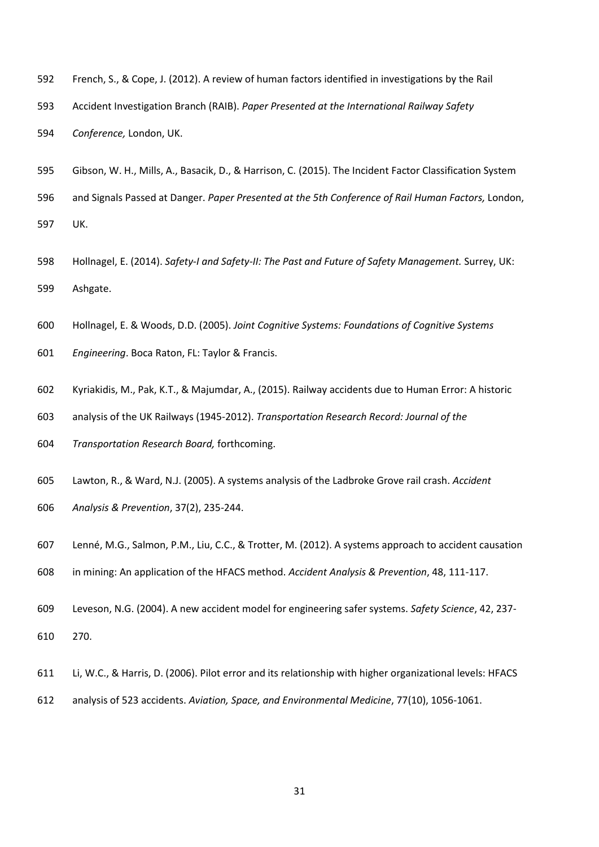- French, S., & Cope, J. (2012). A review of human factors identified in investigations by the Rail Accident Investigation Branch (RAIB). *Paper Presented at the International Railway Safety Conference,* London, UK.
- Gibson, W. H., Mills, A., Basacik, D., & Harrison, C. (2015). The Incident Factor Classification System
- and Signals Passed at Danger. *Paper Presented at the 5th Conference of Rail Human Factors,* London,
- UK.
- Hollnagel, E. (2014). *Safety-I and Safety-II: The Past and Future of Safety Management.* Surrey, UK: Ashgate.
- Hollnagel, E. & Woods, D.D. (2005). *Joint Cognitive Systems: Foundations of Cognitive Systems*
- *Engineering*. Boca Raton, FL: Taylor & Francis.
- Kyriakidis, M., Pak, K.T., & Majumdar, A., (2015). Railway accidents due to Human Error: A historic
- analysis of the UK Railways (1945-2012). *Transportation Research Record: Journal of the*
- *Transportation Research Board,* forthcoming.
- Lawton, R., & Ward, N.J. (2005). A systems analysis of the Ladbroke Grove rail crash. *Accident*
- *Analysis & Prevention*, 37(2), 235-244.
- LennÈ, M.G., Salmon, P.M., Liu, C.C., & Trotter, M. (2012). A systems approach to accident causation
- in mining: An application of the HFACS method. *Accident Analysis & Prevention*, 48, 111-117.
- Leveson, N.G. (2004). A new accident model for engineering safer systems. *Safety Science*, 42, 237- 270.
- Li, W.C., & Harris, D. (2006). Pilot error and its relationship with higher organizational levels: HFACS
- analysis of 523 accidents. *Aviation, Space, and Environmental Medicine*, 77(10), 1056-1061.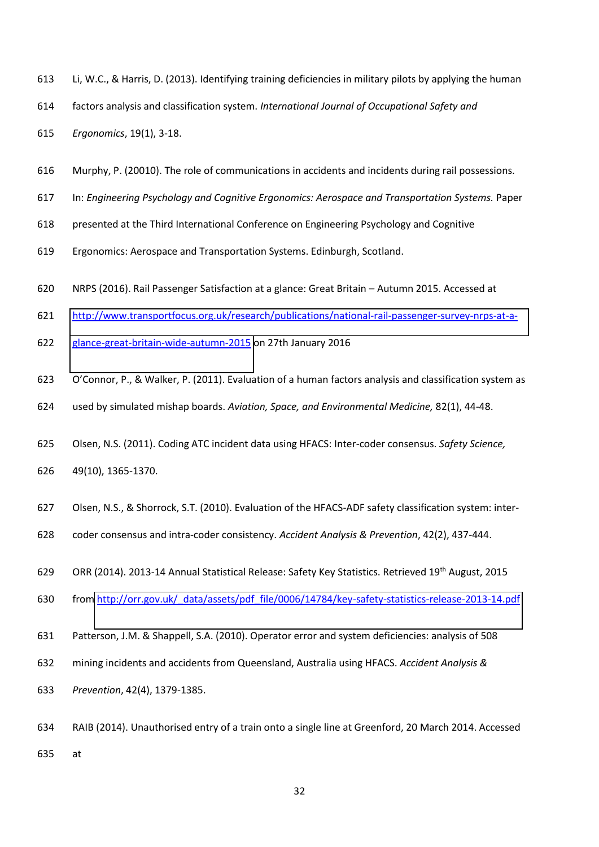- Li, W.C., & Harris, D. (2013). Identifying training deficiencies in military pilots by applying the human
- factors analysis and classification system. *International Journal of Occupational Safety and*
- *Ergonomics*, 19(1), 3-18.
- Murphy, P. (20010). The role of communications in accidents and incidents during rail possessions.
- In: *Engineering Psychology and Cognitive Ergonomics: Aerospace and Transportation Systems.* Paper
- presented at the Third International Conference on Engineering Psychology and Cognitive
- Ergonomics: Aerospace and Transportation Systems. Edinburgh, Scotland.
- 620 NRPS (2016). Rail Passenger Satisfaction at a glance: Great Britain Autumn 2015. Accessed at
- [http://www.transportfocus.org.uk/research/publications/national-rail-passenger-survey-nrps-at-a-](http://www.transportfocus.org.uk/research/publications/national-rail-passenger-survey-nrps-at-a-glance-great-britain-wide-autumn-2015)
- [glance-great-britain-wide-autumn-2015](http://www.transportfocus.org.uk/research/publications/national-rail-passenger-survey-nrps-at-a-glance-great-britain-wide-autumn-2015) on 27th January 2016
- 623 O'Connor, P., & Walker, P. (2011). Evaluation of a human factors analysis and classification system as
- used by simulated mishap boards. *Aviation, Space, and Environmental Medicine,* 82(1), 44-48.
- Olsen, N.S. (2011). Coding ATC incident data using HFACS: Inter-coder consensus. *Safety Science,*  49(10), 1365-1370.
- Olsen, N.S., & Shorrock, S.T. (2010). Evaluation of the HFACS-ADF safety classification system: inter-
- coder consensus and intra-coder consistency. *Accident Analysis & Prevention*, 42(2), 437-444.
- 629 ORR (2014). 2013-14 Annual Statistical Release: Safety Key Statistics. Retrieved 19th August, 2015
- 630 from http://orr.gov.uk/ data/assets/pdf file/0006/14784/key-safety-statistics-release-2013-14.pdf
- Patterson, J.M. & Shappell, S.A. (2010). Operator error and system deficiencies: analysis of 508
- mining incidents and accidents from Queensland, Australia using HFACS. *Accident Analysis &*
- *Prevention*, 42(4), 1379-1385.
- RAIB (2014). Unauthorised entry of a train onto a single line at Greenford, 20 March 2014. Accessed at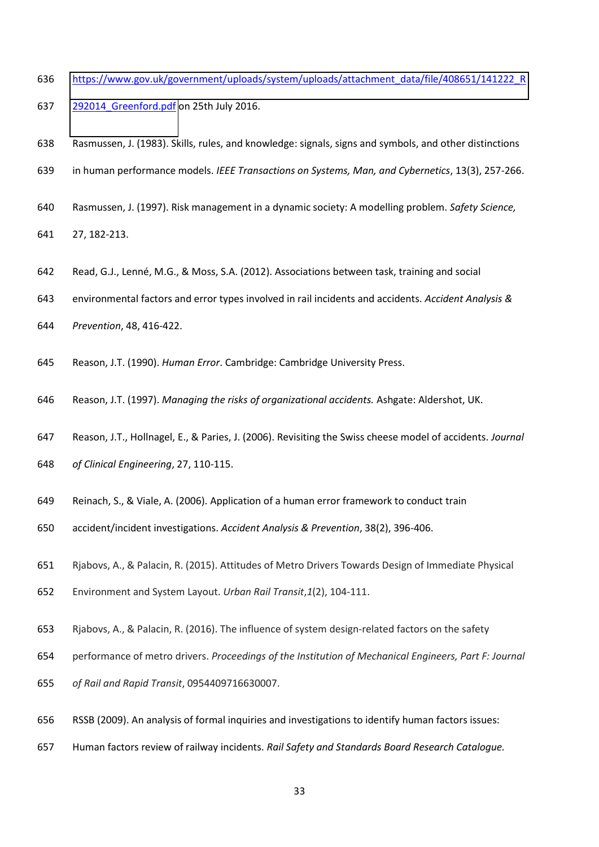- [https://www.gov.uk/government/uploads/system/uploads/attachment\\_data/file/408651/141222\\_R](https://www.gov.uk/government/uploads/system/uploads/attachment_data/file/408651/141222_R292014_Greenford.pdf)
- [292014\\_Greenford.pdf](https://www.gov.uk/government/uploads/system/uploads/attachment_data/file/408651/141222_R292014_Greenford.pdf) on 25th July 2016.
- Rasmussen, J. (1983). Skills, rules, and knowledge: signals, signs and symbols, and other distinctions
- in human performance models. *IEEE Transactions on Systems, Man, and Cybernetics*, 13(3), 257-266.
- Rasmussen, J. (1997). Risk management in a dynamic society: A modelling problem. *Safety Science,*  27, 182-213.
- 642 Read, G.J., Lenné, M.G., & Moss, S.A. (2012). Associations between task, training and social
- environmental factors and error types involved in rail incidents and accidents. *Accident Analysis &*
- *Prevention*, 48, 416-422.
- Reason, J.T. (1990). *Human Error*. Cambridge: Cambridge University Press.
- Reason, J.T. (1997). *Managing the risks of organizational accidents.* Ashgate: Aldershot, UK.
- Reason, J.T., Hollnagel, E., & Paries, J. (2006). Revisiting the Swiss cheese model of accidents. *Journal*
- *of Clinical Engineering*, 27, 110-115.
- Reinach, S., & Viale, A. (2006). Application of a human error framework to conduct train
- accident/incident investigations. *Accident Analysis & Prevention*, 38(2), 396-406.
- Rjabovs, A., & Palacin, R. (2015). Attitudes of Metro Drivers Towards Design of Immediate Physical
- Environment and System Layout. *Urban Rail Transit*,*1*(2), 104-111.
- Rjabovs, A., & Palacin, R. (2016). The influence of system design-related factors on the safety
- performance of metro drivers. *Proceedings of the Institution of Mechanical Engineers, Part F: Journal*
- *of Rail and Rapid Transit*, 0954409716630007.
- RSSB (2009). An analysis of formal inquiries and investigations to identify human factors issues:
- Human factors review of railway incidents. *Rail Safety and Standards Board Research Catalogue.*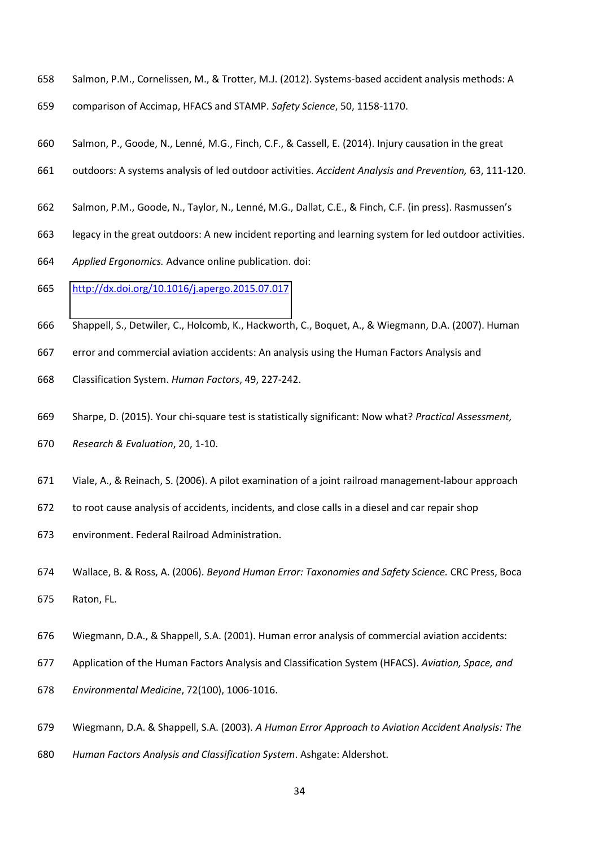- Salmon, P.M., Cornelissen, M., & Trotter, M.J. (2012). Systems-based accident analysis methods: A
- comparison of Accimap, HFACS and STAMP. *Safety Science*, 50, 1158-1170.
- 660 Salmon, P., Goode, N., Lenné, M.G., Finch, C.F., & Cassell, E. (2014). Injury causation in the great
- outdoors: A systems analysis of led outdoor activities. *Accident Analysis and Prevention,* 63, 111-120.
- 662 Salmon, P.M., Goode, N., Taylor, N., Lenné, M.G., Dallat, C.E., & Finch, C.F. (in press). Rasmussen's
- legacy in the great outdoors: A new incident reporting and learning system for led outdoor activities.
- *Applied Ergonomics.* Advance online publication. doi:
- <http://dx.doi.org/10.1016/j.apergo.2015.07.017>
- Shappell, S., Detwiler, C., Holcomb, K., Hackworth, C., Boquet, A., & Wiegmann, D.A. (2007). Human
- error and commercial aviation accidents: An analysis using the Human Factors Analysis and
- Classification System. *Human Factors*, 49, 227-242.
- Sharpe, D. (2015). Your chi-square test is statistically significant: Now what? *Practical Assessment,*
- *Research & Evaluation*, 20, 1-10.
- Viale, A., & Reinach, S. (2006). A pilot examination of a joint railroad management-labour approach
- to root cause analysis of accidents, incidents, and close calls in a diesel and car repair shop
- environment. Federal Railroad Administration.
- Wallace, B. & Ross, A. (2006). *Beyond Human Error: Taxonomies and Safety Science.* CRC Press, Boca Raton, FL.
- Wiegmann, D.A., & Shappell, S.A. (2001). Human error analysis of commercial aviation accidents:
- Application of the Human Factors Analysis and Classification System (HFACS). *Aviation, Space, and*
- *Environmental Medicine*, 72(100), 1006-1016.
- Wiegmann, D.A. & Shappell, S.A. (2003). *A Human Error Approach to Aviation Accident Analysis: The*
- *Human Factors Analysis and Classification System*. Ashgate: Aldershot.